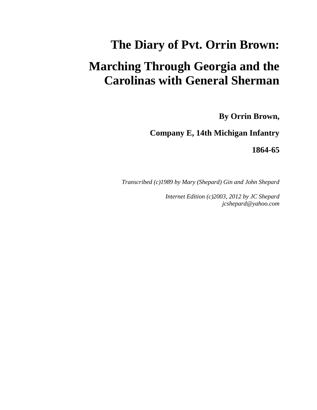# **The Diary of Pvt. Orrin Brown: Marching Through Georgia and the Carolinas with General Sherman**

**By Orrin Brown,**

**Company E, 14th Michigan Infantry**

**1864-65**

*Transcribed (c)1989 by Mary (Shepard) Gin and John Shepard*

*Internet Edition (c)2003, 2012 by JC Shepard jcshepard@yahoo.com*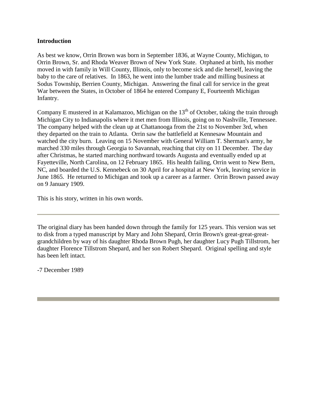# **Introduction**

As best we know, Orrin Brown was born in September 1836, at Wayne County, Michigan, to Orrin Brown, Sr. and Rhoda Weaver Brown of New York State. Orphaned at birth, his mother moved in with family in Will County, Illinois, only to become sick and die herself, leaving the baby to the care of relatives. In 1863, he went into the lumber trade and milling business at Sodus Township, Berrien County, Michigan. Answering the final call for service in the great War between the States, in October of 1864 he entered Company E, Fourteenth Michigan Infantry.

Company E mustered in at Kalamazoo, Michigan on the  $13<sup>th</sup>$  of October, taking the train through Michigan City to Indianapolis where it met men from Illinois, going on to Nashville, Tennessee. The company helped with the clean up at Chattanooga from the 21st to November 3rd, when they departed on the train to Atlanta. Orrin saw the battlefield at Kennesaw Mountain and watched the city burn. Leaving on 15 November with General William T. Sherman's army, he marched 330 miles through Georgia to Savannah, reaching that city on 11 December. The day after Christmas, he started marching northward towards Augusta and eventually ended up at Fayetteville, North Carolina, on 12 February 1865. His health failing, Orrin went to New Bern, NC, and boarded the U.S. Kennebeck on 30 April for a hospital at New York, leaving service in June 1865. He returned to Michigan and took up a career as a farmer. Orrin Brown passed away on 9 January 1909.

This is his story, written in his own words.

The original diary has been handed down through the family for 125 years. This version was set to disk from a typed manuscript by Mary and John Shepard, Orrin Brown's great-great-greatgrandchildren by way of his daughter Rhoda Brown Pugh, her daughter Lucy Pugh Tillstrom, her daughter Florence Tillstrom Shepard, and her son Robert Shepard. Original spelling and style has been left intact.

-7 December 1989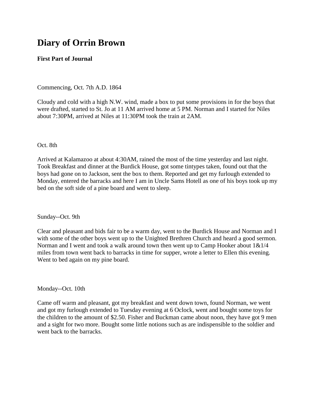# **Diary of Orrin Brown**

# **First Part of Journal**

Commencing, Oct. 7th A.D. 1864

Cloudy and cold with a high N.W. wind, made a box to put some provisions in for the boys that were drafted, started to St. Jo at 11 AM arrived home at 5 PM. Norman and I started for Niles about 7:30PM, arrived at Niles at 11:30PM took the train at 2AM.

Oct. 8th

Arrived at Kalamazoo at about 4:30AM, rained the most of the time yesterday and last night. Took Breakfast and dinner at the Burdick House, got some tintypes taken, found out that the boys had gone on to Jackson, sent the box to them. Reported and get my furlough extended to Monday, entered the barracks and here I am in Uncle Sams Hotell as one of his boys took up my bed on the soft side of a pine board and went to sleep.

Sunday--Oct. 9th

Clear and pleasant and bids fair to be a warm day, went to the Burdick House and Norman and I with some of the other boys went up to the Unighted Brethren Church and heard a good sermon. Norman and I went and took a walk around town then went up to Camp Hooker about  $1\&1/4$ miles from town went back to barracks in time for supper, wrote a letter to Ellen this evening. Went to bed again on my pine board.

Monday--Oct. 10th

Came off warm and pleasant, got my breakfast and went down town, found Norman, we went and got my furlough extended to Tuesday evening at 6 Oclock, went and bought some toys for the children to the amount of \$2.50. Fisher and Buckman came about noon, they have got 9 men and a sight for two more. Bought some little notions such as are indispensible to the soldier and went back to the barracks.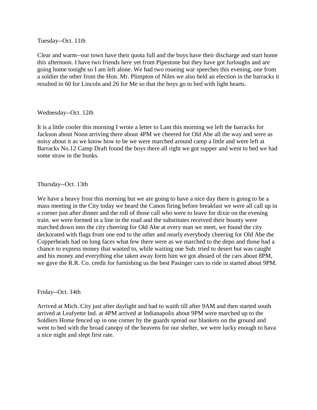Tuesday--Oct. 11th

Clear and warm--our town have their quota full and the boys have their discharge and start home this afternoon. I have two friends here yet from Pipestone but they have got furloughs and are going home tonight so I am left alone. We had two roueing war speeches this evening, one from a soldier the other from the Hon. Mr. Plimpton of Niles we also held an election in the barracks it resulted in 60 for Lincoln and 26 for Me so that the boys go to bed with light hearts.

Wednesday--Oct. 12th

It is a little cooler this morning I wrote a letter to Lant this morning we left the barracks for Jackson about Noon arriving there about 4PM we cheered for Old Abe all the way and were as noisy about it as we know how to be we were marched around camp a little and were left at Barracks No.12 Camp Draft found the boys there all right we got supper and went to bed we had some straw in the bunks.

Thursday--Oct. 13th

We have a heavy frost this morning but we are going to have a nice day there is going to be a mass meeting in the City today we heard the Canon firing before breakfast we were all call up in a corner just after dinner and the roll of those call who were to leave for dixie on the evening train. we were formed in a line in the road and the substitutes received their bounty were marched down into the city cheering for Old Abe at every man we meet, we found the city deckorated with flags from one end to the other and nearly everybody cheering for Old Abe the Copperheads had on long faces what few there were as we marched to the depo and those had a chance to express money that wanted to, while waiting one Sub. tried to desert but was caught and his money and everything else taken away form him we got aboard of the cars about 8PM, we gave the R.R. Co. credit for furnishing us the best Pasinger cars to ride in started about 9PM.

Friday--Oct. 14th

Arrived at Mich. City just after daylight and had to waith till after 9AM and then started south arrived at Leafyette Ind. at 4PM arrived at Indianapolis about 9PM were marched up to the Soldiers Home fenced up in one corner by the guards spread our blankets on the ground and went to bed with the broad canopy of the heavens for our shelter, we were lucky enough to hava a nice night and slept first rate.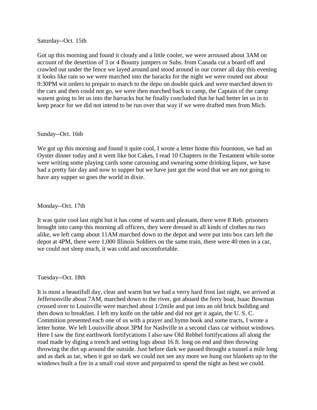Saturday--Oct. 15th

Got up this morning and found it cloudy and a little cooler, we were arroused about 3AM on account of the desertion of 3 or 4 Bounty jumpers or Subs. from Canada cut a board off and crawled out under the fence we layed around and stood around in our corner all day this evening it looks like rain so we were marched into the baracks for the night we were routed out about 9:30PM wit orders to prepair to march to the depo on double quick and were marched down to the cars and then could not go, we were then marched back to camp, the Captain of the camp wasent going to let us into the barracks but he finally concluded that he had better let us in to keep peace for we did not intend to be run over that way if we were drafted men from Mich.

#### Sunday--Oct. 16th

We got up this morning and found it quite cool, I wrote a letter home this fournoon, we had an Oyster dinner today and it went like hot Cakes, I read 10 Chapters in the Testament while some were writing some playing cards some carousing and swearing some drinking liquor, we have had a pretty fair day and now to supper but we have just got the word that we are not going to have any supper so goes the world in dixie.

Monday--Oct. 17th

It was quite cool last night but it has come of warm and pleasant, there were 8 Reb. prisoners brought into camp this morning all officers, they were dressed in all kinds of clothes no two alike, we left camp about 11AM marched down to the depot and were put into box cars left the depot at 4PM, there were 1,000 Illinois Soldiers on the same train, there were 40 men in a car, we could not sleep much, it was cold and uncomfortable.

# Tuesday--Oct. 18th

It is most a beautifull day, clear and warm but we had a verry hard frost last night, we arrived at Jeffersonville about 7AM, marched down to the river, got aboard the ferry boat, Isaac Bowman crossed over to Louisville were marched about 1/2mile and put into an old brick building and then down to breakfast. I left my knife on the table and did not get it again, the U. S. C. Commition presented each one of us with a prayer and hymn book and some tracts, I wrote a letter home. We left Louisville about 3PM for Nashville in a second class car without windows. Here I saw the first earthwork fortifycations I also saw Old Rebbel fortifycations all along the road made by diging a trench and setting logs about 16 ft. long on end and then throwing throwing the dirt up around the outside. Just before dark we passed throught a tunnel a mile long and as dark as tar, when it got so dark we could not see any more we hung our blankets up to the windows built a fire in a small coal stove and prepaired to spend the night as best we could.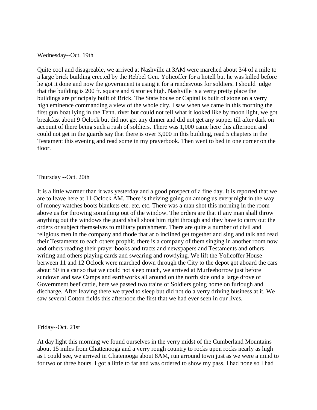#### Wednesday--Oct. 19th

Quite cool and disagreable, we arrived at Nashville at 3AM were marched about 3/4 of a mile to a large brick building erected by the Rebbel Gen. Yolicoffer for a hotell but he was killed before he got it done and now the government is using it for a rendesvous for soldiers. I should judge that the building is 200 ft. square and 6 stories high. Nashville is a verry pretty place the buildings are principaly built of Brick. The State house or Capital is built of stone on a verry high eminence commanding a view of the whole city. I saw when we came in this morning the first gun boat lying in the Tenn. river but could not tell what it looked like by moon light, we got breakfast about 9 Oclock but did not get any dinner and did not get any supper till after dark on account of there being such a rush of soldiers. There was 1,000 came here this afternoon and could not get in the guards say that there is over 3,000 in this building, read 5 chapters in the Testament this evening and read some in my prayerbook. Then went to bed in one corner on the floor.

## Thursday --Oct. 20th

It is a little warmer than it was yesterday and a good prospect of a fine day. It is reported that we are to leave here at 11 Oclock AM. There is theiving going on among us every night in the way of money watches boots blankets etc. etc. etc. There was a man shot this morning in the room above us for throwing something out of the window. The orders are that if any man shall throw anything out the windows the guard shall shoot him right through and they have to carry out the orders or subject themselves to military punishment. There are quite a number of civil and religious men in the company and thode that ar o inclined get together and sing and talk and read their Testaments to each others prophit, there is a company of them singing in another room now and others reading their prayer books and tracts and newspapers and Testaments and others writing and others playing cards and swearing and rowdying. We lift the Yolicoffer House berween 11 and 12 Oclock were marched down through the City to the depot got aboard the cars about 50 in a car so that we could not sleep much, we arrived at Murfeeborrow just before sundown and saw Camps and earthworks all around on the north side ond a large drove of Government beef cattle, here we passed two trains of Soldiers going home on furlough and discharge. After leaving there we tryed to sleep but did not do a verry driving business at it. We saw several Cotton fields this afternoon the first that we had ever seen in our lives.

Friday--Oct. 21st

At day light this morning we found ourselves in the verry midst of the Cumberland Mountains about 15 miles from Chattenooga and a verry rough country to rocks upon rocks nearly as high as I could see, we arrived in Chatenooga about 8AM, run arround town just as we were a mind to for two or three hours. I got a little to far and was ordered to show my pass, I had none so I had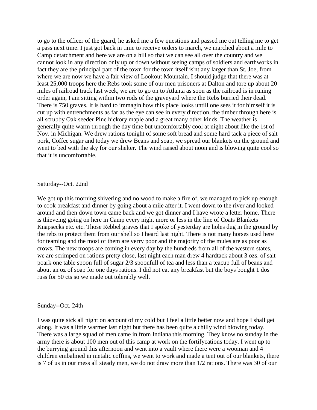to go to the officer of the guard, he asked me a few questions and passed me out telling me to get a pass next time. I just got back in time to receive orders to march, we marched about a mile to Camp detatchment and here we are on a hill so that we can see all over the country and we cannot look in any direction only up or down without seeing camps of soldiers and earthworks in fact they are the principal part of the town for the town itself is'nt any larger than St. Joe, from where we are now we have a fair view of Lookout Mountain. I should judge that there was at least 25,000 troops here the Rebs took some of our men prisoners at Dalton and tore up about 20 miles of railroad track last week, we are to go on to Atlanta as soon as the railroad is in runing order again, I am sitting within two rods of the graveyard where the Rebs burried their dead. There is 750 graves. It is hard to immagin how this place looks untill one sees it for himself it is cut up with entrenchments as far as the eye can see in every direction, the timber through here is all scrubby Oak seeder Pine hickory maple and a great many other kinds. The weather is generally quite warm through the day time but uncomfortably cool at night about like the 1st of Nov. in Michigan. We drew rations tonight of some soft bread and some hard tack a piece of salt pork, Coffee sugar and today we drew Beans and soap, we spread our blankets on the ground and went to bed with the sky for our shelter. The wind raised about noon and is blowing quite cool so that it is uncomfortable.

#### Saturday--Oct. 22nd

We got up this morning shivering and no wood to make a fire of, we managed to pick up enough to cook breakfast and dinner by going about a mile after it. I went down to the river and looked around and then down town came back and we got dinner and I have wrote a letter home. There is thieveing going on here in Camp every night more or less in the line of Coats Blankets Knapsecks etc. etc. Those Rebbel graves that I spoke of yesterday are holes dug in the ground by the rebs to protect them from our shell so I heard last night. There is not many horses used here for teaming and the most of them are verry poor and the majority of the mules are as poor as crows. The new troops are coming in every day by the hundreds from all of the western states, we are scrimped on rations pretty close, last night each man drew 4 hardtack about 3 ozs. of salt poark one table spoon full of sugar 2/3 spoonfull of tea and less than a teacup full of beans and about an oz of soap for one days rations. I did not eat any breakfast but the boys bought 1 dos russ for 50 cts so we made out tolerably well.

#### Sunday--Oct. 24th

I was quite sick all night on account of my cold but I feel a little better now and hope I shall get along. It was a little warmer last night but there has been quite a chilly wind blowing today. There was a large squad of men came in from Indiana this morning. They know no sunday in the army there is about 100 men out of this camp at work on the fortifycations today. I went up to the burrying ground this afternoon and went into a vault where there were a wooman and 4 children embalmed in metalic coffins, we went to work and made a tent out of our blankets, there is 7 of us in our mess all steady men, we do not draw more than 1/2 rations. There was 30 of our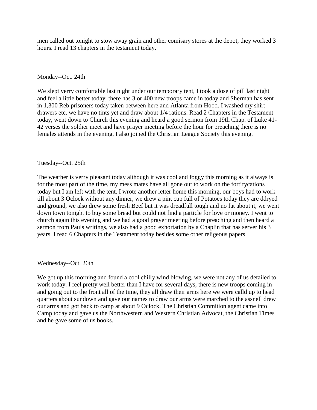men called out tonight to stow away grain and other comisary stores at the depot, they worked 3 hours. I read 13 chapters in the testament today.

# Monday--Oct. 24th

We slept verry comfortable last night under our temporary tent, I took a dose of pill last night and feel a little better today, there has 3 or 400 new troops came in today and Sherman has sent in 1,300 Reb prisoners today taken between here and Atlanta from Hood. I washed my shirt drawers etc. we have no tints yet and draw about 1/4 rations. Read 2 Chapters in the Testament today, went down to Church this evening and heard a good sermon from 19th Chap. of Luke 41- 42 verses the soldier meet and have prayer meeting before the hour for preaching there is no females attends in the evening, I also joined the Christian League Society this evening.

## Tuesday--Oct. 25th

The weather is verry pleasant today although it was cool and foggy this morning as it always is for the most part of the time, my mess mates have all gone out to work on the fortifycations today but I am left with the tent. I wrote another letter home this morning, our boys had to work till about 3 Oclock without any dinner, we drew a pint cup full of Potatoes today they are ddryed and ground, we also drew some fresh Beef but it was dreadfull tough and no fat about it, we went down town tonight to buy some bread but could not find a particle for love or money. I went to church again this evening and we had a good prayer meeting before preaching and then heard a sermon from Pauls writings, we also had a good exhortation by a Chaplin that has server his 3 years. I read 6 Chapters in the Testament today besides some other religeous papers.

#### Wednesday--Oct. 26th

We got up this morning and found a cool chilly wind blowing, we were not any of us detailed to work today. I feel pretty well better than I have for several days, there is new troops coming in and going out to the front all of the time, they all draw their arms here we were calld up to head quarters about sundown and gave our names to draw our arms were marched to the assnell drew our arms and got back to camp at about 9 Oclock. The Christian Commition agent came into Camp today and gave us the Northwestern and Western Christian Advocat, the Christian Times and he gave some of us books.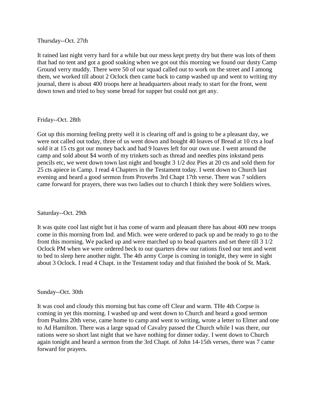Thursday--Oct. 27th

It rained last night verry hard for a while but our mess kept pretty dry but there was lots of them that had no tent and got a good soaking when we got out this morning we found our dusty Camp Ground verry muddy. There were 50 of our squad called out to work on the street and I among them, we worked till about 2 Oclock then came back to camp washed up and went to writing my journal, there is about 400 troops here at headquarters about ready to start for the front, went down town and tried to buy some bread for supper but could not get any.

# Friday--Oct. 28th

Got up this morning feeling pretty well it is clearing off and is going to be a pleasant day, we were not called out today, three of us went down and bought 40 loaves of Bread at 10 cts a loaf sold it at 15 cts got our money back and had 9 loaves left for our own use. I went around the camp and sold about \$4 worth of my trinkets such as thread and needles pins inkstand pens pencils etc, we went down town last night and bought 3 1/2 doz Pies at 20 cts and sold them for 25 cts apiece in Camp. I read 4 Chapters in the Testament today. I went down to Church last evening and heard a good sermon from Proverbs 3rd Chapt 17th verse. There was 7 soldiers came forward for prayers, there was two ladies out to church I think they were Soldiers wives.

# Saturday--Oct. 29th

It was quite cool last night but it has come of warm and pleasant there has about 400 new troops come in this morning from Ind. and Mich. wee were ordered to pack up and be ready to go to the front this morning. We packed up and were marched up to head quarters and set there till 3 1/2 Oclock PM when we were ordered beck to our quarters drew our rations fixed our tent and went to bed to sleep here another night. The 4th army Corpe is coming in tonight, they were in sight about 3 Oclock. I read 4 Chapt. in the Testament today and that finished the book of St. Mark.

# Sunday--Oct. 30th

It was cool and cloudy this morning but has come off Clear and warm. THe 4th Corpse is coming in yet this morning. I washed up and went down to Church and heard a good sermon from Psalms 20th verse, came home to camp and went to writing, wrote a letter to Elmer and one to Ad Hamilton. There was a large squad of Cavalry passed the Church while I was there, our rations were so short last night that we have nothing for dinner today. I went down to Church again tonight and heard a sermon from the 3rd Chapt. of John 14-15th verses, there was 7 came forward for prayers.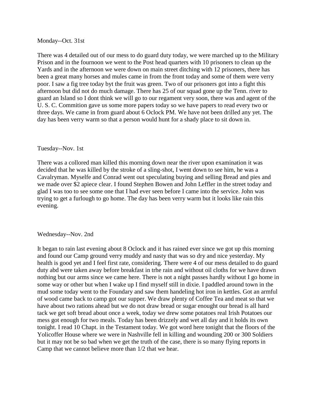#### Monday--Oct. 31st

There was 4 detailed out of our mess to do guard duty today, we were marched up to the Military Prison and in the fournoon we went to the Post head quarters with 10 prisoners to clean up the Yards and in the afternoon we were down on main street ditching with 12 prisoners, there has been a great many horses and mules came in from the front today and some of them were verry poor. I saw a fig tree today byt the fruit was green. Two of our prisoners got into a fight this afternoon but did not do much damage. There has 25 of our squad gone up the Tenn. river to guard an Island so I dont think we will go to our regament very soon, there was and agent of the U. S. C. Commition gave us some more papers today so we have papers to read every two or three days. We came in from guard about 6 Oclock PM. We have not been drilled any yet. The day has been verry warm so that a person would hunt for a shady place to sit down in.

#### Tuesday--Nov. 1st

There was a collored man killed this morning down near the river upon examination it was decided that he was killed by the stroke of a sling-shot, I went down to see him, he was a Cavalryman. Myselfe and Conrad went out speculating buying and selling Bread and pies and we made over \$2 apiece clear. I found Stephen Bowen and John Leffler in the street today and glad I was too to see some one that I had ever seen before I came into the service. John was trying to get a furlough to go home. The day has been verry warm but it looks like rain this evening.

#### Wednesday--Nov. 2nd

It began to rain last evening about 8 Oclock and it has rained ever since we got up this morning and found our Camp ground verry muddy and nasty that was so dry and nice yesterday. My health is good yet and I feel first rate, considering. There were 4 of our mess detailed to do guard duty abd were taken away before breakfast in trhe rain and without oil cloths for we have drawn nothing but our arms since we came here. There is not a night passes hardly without I go home in some way or other but when I wake up I find myself still in dixie. I paddled around town in the mud some today went to the Foundary and saw them handeling hot iron in kettles. Got an armful of wood came back to camp got our supper. We draw plenty of Coffee Tea and meat so that we have about two rations ahead but we do not draw bread or sugar enought our bread is all hard tack we get soft bread about once a week, today we drew some potatoes real Irish Potatoes our mess got enough for two meals. Today has been drizzely and wet all day and it holds its own tonight. I read 10 Chapt. in the Testament today. We got word here tonight that the floors of the Yolicoffer House where we were in Nashville fell in killing and wounding 200 or 300 Soldiers but it may not be so bad when we get the truth of the case, there is so many flying reports in Camp that we cannot believe more than 1/2 that we hear.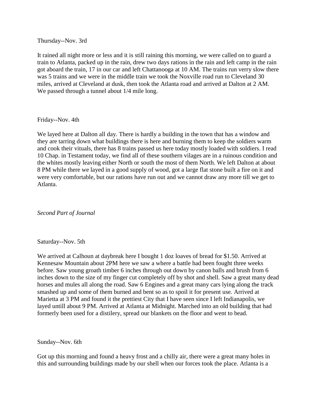Thursday--Nov. 3rd

It rained all night more or less and it is still raining this morning, we were called on to guard a train to Atlanta, packed up in the rain, drew two days rations in the rain and left camp in the rain got aboard the train, 17 in our car and left Chattanooga at 10 AM. The trains run verry slow there was 5 trains and we were in the middle train we took the Noxville road run to Cleveland 30 miles, arrived at Cleveland at dusk, then took the Atlanta road and arrived at Dalton at 2 AM. We passed through a tunnel about 1/4 mile long.

## Friday--Nov. 4th

We layed here at Dalton all day. There is hardly a building in the town that has a window and they are tarring down what buildings there is here and burning them to keep the soldiers warm and cook their vituals, there has 8 trains passed us here today mostly loaded with soldiers. I read 10 Chap. in Testament today, we find all of these southern vilages are in a ruinous condition and the whites mostly leaving either North or south the most of them North. We left Dalton at about 8 PM while there we layed in a good supply of wood, got a large flat stone built a fire on it and were very comfortable, but our rations have run out and we cannot draw any more till we get to Atlanta.

*Second Part of Journal*

# Saturday--Nov. 5th

We arrived at Calhoun at daybreak here I bought 1 doz loaves of bread for \$1.50. Arrived at Kennesaw Mountain about 2PM here we saw a where a battle had been fought three weeks before. Saw young groath timber 6 inches through out down by canon balls and brush from 6 inches down to the size of my finger cut completely off by shot and shell. Saw a great many dead horses and mules all along the road. Saw 6 Engines and a great many cars lying along the track smashed up and some of them burned and bent so as to spoil it for present use. Arrived at Marietta at 3 PM and found it the prettiest City that I have seen since I left Indianapolis, we layed untill about 9 PM. Arrived at Atlanta at Midnight. Marched into an old building that had formerly been used for a distilery, spread our blankets on the floor and went to bead.

Sunday--Nov. 6th

Got up this morning and found a heavy frost and a chilly air, there were a great many holes in this and surrounding buildings made by our shell when our forces took the place. Atlanta is a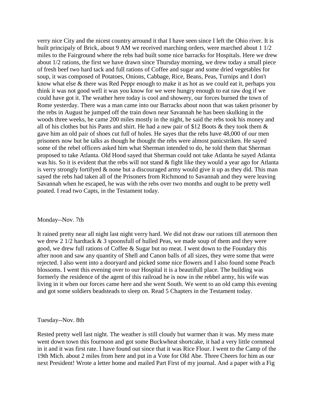verry nice City and the nicest country arround it that I have seen since I left the Ohio river. It is built principaly of Brick, about 9 AM we received marching orders, were marched about 1 1/2 miles to the Fairground where the rebs had built some nice barracks for Hospitals. Here we drew about 1/2 rations, the first we have drawn since Thursday morning, we drew today a small piece of fresh beef two hard tack and full rations of Coffee and sugar and some dried vegetables for soup, it was composed of Potatoes, Onions, Cabbage, Rice, Beans, Peas, Turnips and I don't know what else & there was Red Peppr enough to make it as hot as we could eat it, perhaps you think it was not good well it was you know for we were hungry enough to eat raw dog if we could have got it. The weather here today is cool and showery, our forces burned the town of Rome yesterday. There was a man came into our Barracks about noon that was taken prisoner by the rebs in August he jumped off the train down near Savannah he has been skulking in the woods three weeks, he came 200 miles mostly in the night, he said the rebs took his money and all of his clothes but his Pants and shirt. He had a new pair of \$12 Boots & they took them & gave him an old pair of shoes cut full of holes. He sayes that the rebs have 48,000 of our men prisoners now but he talks as though he thought the rebs were almost panicstriken. He sayed some of the rebel officers asked him what Sherman intended to do, he told them that Sherman proposed to take Atlanta. Old Hood sayed that Sherman could not take Atlanta he sayed Atlanta was his. So it is evident that the rebs will not stand & fight like they would a year ago for Atlanta is verry strongly fortifyed & none but a discouraged army would give it up as they did. This man sayed the rebs had taken all of the Prisoners from Richmond to Savannah and they were leaving Savannah when he escaped, he was with the rebs over two months and ought to be pretty well poated. I read two Capts, in the Testament today.

#### Monday--Nov. 7th

It rained pretty near all night last night verry hard. We did not draw our rations till aternoon then we drew 2 1/2 hardtack & 3 spoonsfull of hulled Peas, we made soup of them and they were good, we drew full rations of Coffee & Sugar but no meat. I went down to the Foundary this after noon and saw any quantity of Shell and Canon balls of all sizes, they were some that were rejected. I also went into a dooryard and picked some nice flowers and I also found some Peach blossoms. I went this evening over to our Hospital it is a beautifull place. The building was formerly the residence of the agent of this railroad he is now in the rebbel army, his wife was living in it when our forces came here and she went South. We went to an old camp this evening and got some soldiers beadsteads to sleep on. Read 5 Chapters in the Testament today.

#### Tuesday--Nov. 8th

Rested pretty well last night. The weather is still cloudy but warmer than it was. My mess mate went down town this fournoon and got some Buckwheat shortcake, it had a very little cornmeal in it and it was first rate. I have found out since that it was Rice Flour. I went to the Camp of the 19th Mich. about 2 miles from here and put in a Vote for Old Abe. Three Cheers for him as our next President! Wrote a letter home and mailed Part First of my journal. And a paper with a Fig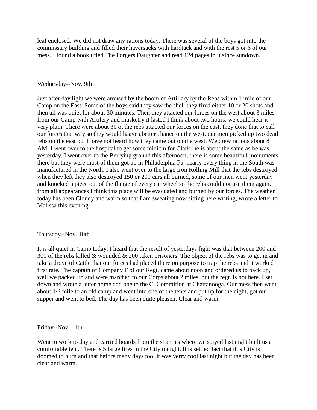leaf enclosed. We did not draw any rations today. There was several of the boys got into the commissary building and filled their haversacks with hardtack and with the rest 5 or 6 of our mess. I found a book titled The Forgers Daughter and read 124 pages in it since sundown.

#### Wednesday--Nov. 9th

Just after day light we were aroused by the boom of Artillary by the Rebs within 1 mile of our Camp on the East. Some of the boys said they saw the shell they fired either 10 or 20 shots and then all was quiet for about 30 minutes. Then they attacted our forces on the west about 3 miles from our Camp with Artilery and musketry it lasted I think about two hours. we could hear it very plain. There were about 30 ot the rebs attacted our forces on the east. they done that to call our forces that way so they would haave abetter chance on the west. our men picked up two dead rebs on the east but I have not heard how they came out on the west. We drew rations about 8 AM. I went over to the hospital to get some midicin for Clark, he is about the same as he was yesterday. I went over to the Berrying ground this afternoon, there is some beautifull monuments there but they were most of them got up in Philadelphia Pa. nearly every thing in the South was manufactured in the North. I also went over to the large Iron Rolling Mill that the rebs destroyed when they left they also destroyed 150 or 200 cars all burned, some of our men went yesterday and knocked a piece out of the flange of every car wheel so the rebs could not use them again, from all appearances I think this place will be evacuated and burned by our forces. The weather today has been Cloudy and warm so that I am sweating now sitting here writing, wrote a letter to Malissa this evening.

#### Thursday--Nov. 10th

It is all quiet in Camp today. I heard that the result of yesterdays fight was that between 200 and 300 of the rebs killed & wounded & 200 taken prisoners. The object of the rebs was to get in and take a drove of Cattle that our forces had placed there on purpose to trap the rebs and it worked first rate. The captain of Company F of our Regt. came about noon and ordered us to pack up, well we packed up and were marched to our Corps about 2 miles, but the regt. is not here. I set down and wrote a letter home and one to the C. Commition at Chattanooga. Our mess then went about 1/2 mile to an old camp and went into one of the tents and put up for the night, got our supper and went to bed. The day has been quite pleasent Clear and warm.

#### Friday--Nov. 11th

Went to work to day and carried boards from the shanties where we stayed last night built us a comfortable tent. There is 5 large fires in the City tonight. It is settled fact that this City is doomed to burn and that before many days too. It was verry cool last night but the day has been clear and warm.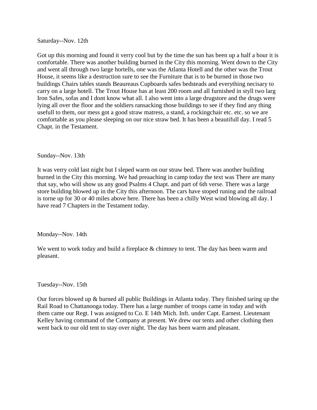Saturday--Nov. 12th

Got up this morning and found it verry cool but by the time the sun has been up a half a hour it is comfortable. There was another building burned in the City this morning. Went down to the City and went all through two large hortells, one was the Atlanta Hotell and the other was the Trout House, it seems like a destruction sure to see the Furniture that is to be burned in those two buildings Chairs tables stands Beaureaus Cupboards safes bedsteads and everything necisary to carry on a large hotell. The Trout House has at least 200 room and all furnished in styll two larg Iron Safes, sofas and I dont know what all. I also went into a large drugstore and the drugs were lying all over the floor and the soldiers ransacking those buildings to see if they find any thing usefull to them, our mess got a good straw matress, a stand, a rockingchair etc. etc. so we are comfortable as you please sleeping on our nice straw bed. It has been a beautifull day. I read 5 Chapt. in the Testament.

# Sunday--Nov. 13th

It was verry cold last night but I sleped warm on our straw bed. There was another building burned in the City this morning. We had preaaching in camp today the text was There are many that say, who will show us any good Psalms 4 Chapt. and part of 6th verse. There was a large store building blowed up in the City this afternoon. The cars have stoped runing and the railroad is torne up for 30 or 40 miles above here. There has been a chilly West wind blowing all day. I have read 7 Chapters in the Testament today.

Monday--Nov. 14th

We went to work today and build a fireplace & chimney to tent. The day has been warm and pleasant.

# Tuesday--Nov. 15th

Our forces blowed up & burned all public Buildings in Atlanta today. They finished taring up the Rail Road to Chattanooga today. There has a large number of troops came in today and with them came our Regt. I was assigned to Co. E 14th Mich. Inft. under Capt. Earnest. Lieutenant Kelley having command of the Company at present. We drew our tents and other clothing then went back to our old tent to stay over night. The day has been warm and pleasant.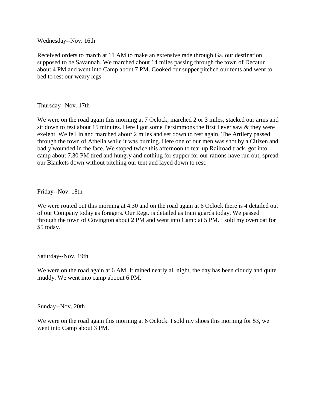Wednesday--Nov. 16th

Received orders to march at 11 AM to make an extensive rade through Ga. our destination supposed to be Savannah. We marched about 14 miles passing through the town of Decatur about 4 PM and went into Camp about 7 PM. Cooked our supper pitched our tents and went to bed to rest our weary legs.

Thursday--Nov. 17th

We were on the road again this morning at 7 Oclock, marched 2 or 3 miles, stacked our arms and sit down to rest about 15 minutes. Here I got some Persimmons the first I ever saw & they were exelent. We fell in and marched abour 2 miles and set down to rest again. The Artilery passed through the town of Athelia while it was burning. Here one of our men was shot by a Citizen and badly wounded in the face. We stoped twice this afternoon to tear up Railroad track, got into camp about 7.30 PM tired and hungry and nothing for supper for our rations have run out, spread our Blankets down without pitching our tent and layed down to rest.

Friday--Nov. 18th

We were routed out this morning at 4.30 and on the road again at 6 Oclock there is 4 detailed out of our Company today as foragers. Our Regt. is detailed as train guards today. We passed through the town of Covington about 2 PM and went into Camp at 5 PM. I sold my overcoat for \$5 today.

Saturday--Nov. 19th

We were on the road again at 6 AM. It rained nearly all night, the day has been cloudy and quite muddy. We went into camp aboout 6 PM.

Sunday--Nov. 20th

We were on the road again this morning at 6 Oclock. I sold my shoes this morning for \$3, we went into Camp about 3 PM.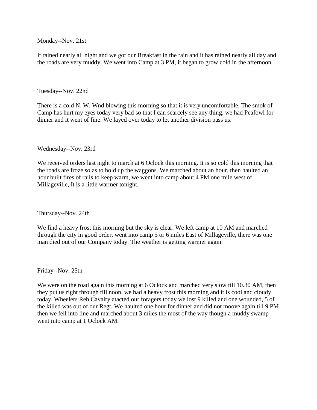Monday--Nov. 21st

It rained nearly all night and we got our Breakfast in the rain and it has rained nearly all day and the roads are very muddy. We went into Camp at 3 PM, it began to grow cold in the afternoon.

# Tuesday--Nov. 22nd

There is a cold N. W. Wnd blowing this morning so that it is very uncomfortable. The smok of Camp has hurt my eyes today very bad so that I can scarcely see any thing, we had Peafowl for dinner and it went of fine. We layed over today to let another division pass us.

## Wednesday--Nov. 23rd

We received orders last night to march at 6 Oclock this morning. It is so cold this morning that the roads are froze so as to hold up the waggons. We marched about an hour, then haulted an hour built fires of rails to keep warm, we went into camp about 4 PM one mile west of Millageville, It is a little warmer tonight.

Thursday--Nov. 24th

We find a heavy frost this morning but the sky is clear. We left camp at 10 AM and marched through the city in good order, went into camp 5 or 6 miles East of Millageville, there was one man died out of our Company today. The weather is getting warmer again.

#### Friday--Nov. 25th

We were on the road again this morning at 6 Oclock and marched very slow till 10.30 AM, then they put us right through till noon, we had a heavy frost this morning and it is cool and cloudy today. Wheelers Reb Cavalry atacted our foragers today we lost 9 killed and one wounded, 5 of the killed was out of our Regt. We haulted one hour for dinner and did not moove again till 9 PM then we fell into line and marched about 3 miles the most of the way though a muddy swamp went into camp at 1 Oclock AM.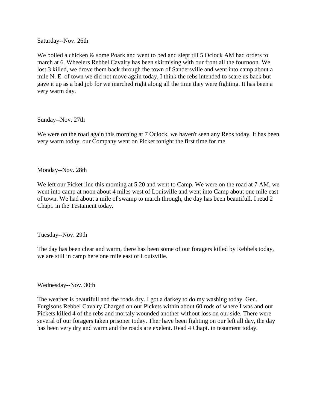Saturday--Nov. 26th

We boiled a chicken & some Poark and went to bed and slept till 5 Oclock AM had orders to march at 6. Wheelers Rebbel Cavalry has been skirmising with our front all the fournoon. We lost 3 killed, we drove them back through the town of Sandersville and went into camp about a mile N. E. of town we did not move again today, I think the rebs intended to scare us back but gave it up as a bad job for we marched right along all the time they were fighting. It has been a very warm day.

Sunday--Nov. 27th

We were on the road again this morning at 7 Oclock, we haven't seen any Rebs today. It has been very warm today, our Company went on Picket tonight the first time for me.

Monday--Nov. 28th

We left our Picket line this morning at 5.20 and went to Camp. We were on the road at 7 AM, we went into camp at noon about 4 miles west of Louisville and went into Camp about one mile east of town. We had about a mile of swamp to march through, the day has been beautifull. I read 2 Chapt. in the Testament today.

Tuesday--Nov. 29th

The day has been clear and warm, there has been some of our foragers killed by Rebbels today, we are still in camp here one mile east of Louisville.

Wednesday--Nov. 30th

The weather is beautifull and the roads dry. I got a darkey to do my washing today. Gen. Furgisons Rebbel Cavalry Charged on our Pickets within about 60 rods of where I was and our Pickets killed 4 of the rebs and mortaly wounded another without loss on our side. There were several of our foragers taken prisoner today. Ther have been fighting on our left all day, the day has been very dry and warm and the roads are exelent. Read 4 Chapt. in testament today.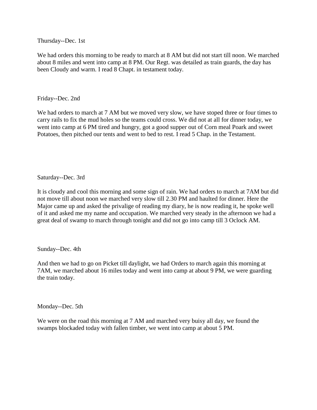Thursday--Dec. 1st

We had orders this morning to be ready to march at 8 AM but did not start till noon. We marched about 8 miles and went into camp at 8 PM. Our Regt. was detailed as train guards, the day has been Cloudy and warm. I read 8 Chapt. in testament today.

Friday--Dec. 2nd

We had orders to march at 7 AM but we moved very slow, we have stoped three or four times to carry rails to fix the mud holes so the teams could cross. We did not at all for dinner today, we went into camp at 6 PM tired and hungry, got a good supper out of Corn meal Poark and sweet Potatoes, then pitched our tents and went to bed to rest. I read 5 Chap. in the Testament.

Saturday--Dec. 3rd

It is cloudy and cool this morning and some sign of rain. We had orders to march at 7AM but did not move till about noon we marched very slow till 2.30 PM and haulted for dinner. Here the Major came up and asked the privalige of reading my diary, he is now reading it, he spoke well of it and asked me my name and occupation. We marched very steady in the afternoon we had a great deal of swamp to march through tonight and did not go into camp till 3 Oclock AM.

Sunday--Dec. 4th

And then we had to go on Picket till daylight, we had Orders to march again this morning at 7AM, we marched about 16 miles today and went into camp at about 9 PM, we were guarding the train today.

Monday--Dec. 5th

We were on the road this morning at 7 AM and marched very buisy all day, we found the swamps blockaded today with fallen timber, we went into camp at about 5 PM.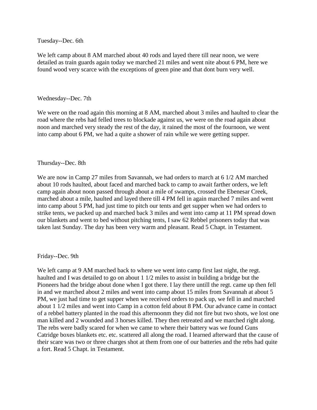Tuesday--Dec. 6th

We left camp about 8 AM marched about 40 rods and layed there till near noon, we were detailed as train guards again today we marched 21 miles and went nite about 6 PM, here we found wood very scarce with the exceptions of green pine and that dont burn very well.

#### Wednesday--Dec. 7th

We were on the road again this morning at 8 AM, marched about 3 miles and haulted to clear the road where the rebs had felled trees to blockade against us, we were on the road again about noon and marched very steady the rest of the day, it rained the most of the fournoon, we went into camp about 6 PM, we had a quite a shower of rain while we were getting supper.

## Thursday--Dec. 8th

We are now in Camp 27 miles from Savannah, we had orders to march at 6 1/2 AM marched about 10 rods haulted, about faced and marched back to camp to await farther orders, we left camp again about noon passed through about a mile of swamps, crossed the Ebenesar Creek, marched about a mile, haulted and layed there till 4 PM fell in again marched 7 miles and went into camp about 5 PM, had just time to pitch our tents and get supper when we had orders to strike tents, we packed up and marched back 3 miles and went into camp at 11 PM spread down our blankets and went to bed without pitching tents, I saw 62 Rebbel prisoners today that was taken last Sunday. The day has been very warm and pleasant. Read 5 Chapt. in Testament.

#### Friday--Dec. 9th

We left camp at 9 AM marched back to where we went into camp first last night, the regt. haulted and I was detailed to go on about 1 1/2 miles to assist in building a bridge but the Pioneers had the bridge about done when I got there. I lay there untill the regt. came up then fell in and we marched about 2 miles and went into camp about 15 miles from Savannah at about 5 PM, we just had time to get supper when we received orders to pack up, we fell in and marched about 1 1/2 miles and went into Camp in a cotton feld about 8 PM. Our advance came in contact of a rebbel battery planted in the road this afternoonm they did not fire but two shots, we lost one man killed and 2 wounded and 3 horses killed. They then retreated and we marched right along. The rebs were badly scared for when we came to where their battery was we found Guns Catridge boxes blankets etc. etc. scattered all along the road. I learned afterward that the cause of their scare was two or three charges shot at them from one of our batteries and the rebs had quite a fort. Read 5 Chapt. in Testament.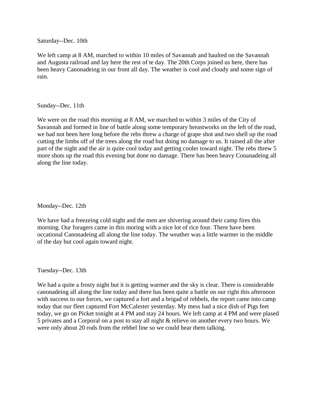Saturday--Dec. 10th

We left camp at 8 AM, marched to within 10 miles of Savannah and haulted on the Savannah and Augusta railroad and lay here the rest of te day. The 20th Corps joined us here, there has been heavy Canonadeing in our front all day. The weather is cool and cloudy and some sign of rain.

# Sunday--Dec. 11th

We were on the road this morning at 8 AM, we marched to within 3 miles of the City of Savannah and formed in line of battle along some temporary breastworks on the left of the road, we had not been here long before the rebs threw a charge of grape shot and two shell up the road cutting the limbs off of the trees along the road but doing no damage to us. It rained all the after part of the night and the air is quite cool today and getting cooler toward night. The rebs threw 5 more shots up the road this evening but done no damage. There has been heavy Conanadeing all along the line today.

Monday--Dec. 12th

We have had a freezeing cold night and the men are shivering around their camp fires this morning. Our foragers came in this moring with a nice lot of rice four. There have been occational Canonadeing all along the line today. The weather was a little warmer in the middle of the day but cool again toward night.

Tuesday--Dec. 13th

We had a quite a frosty night but it is getting warmer and the sky is clear. There is considerable canonadeing all along the line today and there has been quite a battle on our right this afternoon with success to our forces, we captured a fort and a brigad of rebbels, the report came into camp today that our fleet captured Fort McCalester yesterday. My mess had a nice dish of Pigs feet today, we go on Picket tonight at 4 PM and stay 24 hours. We left camp at 4 PM and were plased 5 privates and a Corporal on a post to stay all night & relieve on another every two hours. We were only about 20 rods from the rebbel line so we could hear them talking.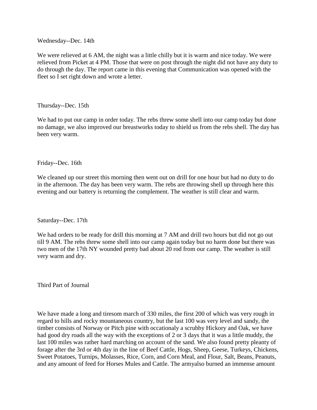Wednesday--Dec. 14th

We were relieved at 6 AM, the night was a little chilly but it is warm and nice today. We were relieved from Picket at 4 PM. Those that were on post through the night did not have any duty to do through the day. The report came in this evening that Communication was opened with the fleet so I set right down and wrote a letter.

Thursday--Dec. 15th

We had to put our camp in order today. The rebs threw some shell into our camp today but done no damage, we also improved our breastworks today to shield us from the rebs shell. The day has been very warm.

Friday--Dec. 16th

We cleaned up our street this morning then went out on drill for one hour but had no duty to do in the afternoon. The day has been very warm. The rebs are throwing shell up through here this evening and our battery is returning the complement. The weather is still clear and warm.

Saturday--Dec. 17th

We had orders to be ready for drill this morning at 7 AM and drill two hours but did not go out till 9 AM. The rebs threw some shell into our camp again today but no harm done but there was two men of the 17th NY wounded pretty bad about 20 rod from our camp. The weather is still very warm and dry.

Third Part of Journal

We have made a long and tiresom march of 330 miles, the first 200 of which was very rough in regard to hills and rocky mountaneous country, but the last 100 was very level and sandy, the timber consists of Norway or Pitch pine with occationaly a scrubby Hickory and Oak, we have had good dry roads all the way with the exceptions of 2 or 3 days that it was a little muddy, the last 100 miles was rather hard marching on account of the sand. We also found pretty pleanty of forage after the 3rd or 4th day in the line of Beef Cattle, Hogs, Sheep, Geese, Turkeys, Chickens, Sweet Potatoes, Turnips, Molasses, Rice, Corn, and Corn Meal, and Flour, Salt, Beans, Peanuts, and any amount of feed for Horses Mules and Cattle. The armyalso burned an immense amount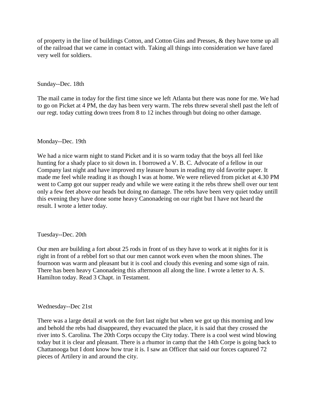of property in the line of buildings Cotton, and Cotton Gins and Presses, & they have torne up all of the railroad that we came in contact with. Taking all things into consideration we have fared very well for soldiers.

# Sunday--Dec. 18th

The mail came in today for the first time since we left Atlanta but there was none for me. We had to go on Picket at 4 PM, the day has been very warm. The rebs threw several shell past the left of our regt. today cutting down trees from 8 to 12 inches through but doing no other damage.

## Monday--Dec. 19th

We had a nice warm night to stand Picket and it is so warm today that the boys all feel like hunting for a shady place to sit down in. I borrowed a V. B. C. Advocate of a fellow in our Company last night and have improved my leasure hours in reading my old favorite paper. It made me feel while reading it as though I was at home. We were relieved from picket at 4.30 PM went to Camp got our supper ready and while we were eating it the rebs threw shell over our tent only a few feet above our heads but doing no damage. The rebs have been very quiet today untill this evening they have done some heavy Canonadeing on our right but I have not heard the result. I wrote a letter today.

#### Tuesday--Dec. 20th

Our men are building a fort about 25 rods in front of us they have to work at it nights for it is right in front of a rebbel fort so that our men cannot work even when the moon shines. The fournoon was warm and pleasant but it is cool and cloudy this evening and some sign of rain. There has been heavy Canonadeing this afternoon all along the line. I wrote a letter to A. S. Hamilton today. Read 3 Chapt. in Testament.

#### Wednesday--Dec 21st

There was a large detail at work on the fort last night but when we got up this morning and low and behold the rebs had disappeared, they evacuated the place, it is said that they crossed the river into S. Carolina. The 20th Corps occupy the City today. There is a cool west wind blowing today but it is clear and pleasant. There is a rhumor in camp that the 14th Corpe is going back to Chattanooga but I dont know how true it is. I saw an Officer that said our forces captured 72 pieces of Artilery in and around the city.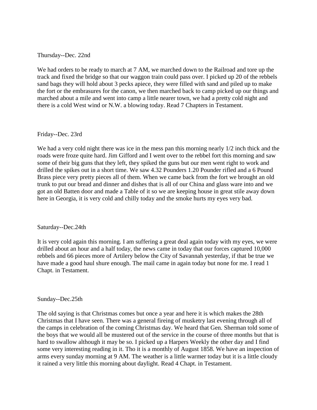# Thursday--Dec. 22nd

We had orders to be ready to march at 7 AM, we marched down to the Railroad and tore up the track and fixed the bridge so that our waggon train could pass over. I picked up 20 of the rebbels sand bags they will hold about 3 pecks apiece, they were filled with sand and piled up to make the fort or the embrasures for the canon, we then marched back to camp picked up our things and marched about a mile and went into camp a little nearer town, we had a pretty cold night and there is a cold West wind or N.W. a blowing today. Read 7 Chapters in Testament.

#### Friday--Dec. 23rd

We had a very cold night there was ice in the mess pan this morning nearly  $1/2$  inch thick and the roads were froze quite hard. Jim Gifford and I went over to the rebbel fort this morning and saw some of their big guns that they left, they spiked the guns but our men went right to work and drilled the spikes out in a short time. We saw 4.32 Pounders 1.20 Pounder rifled and a 6 Pound Brass piece very pretty pieces all of them. When we came back from the fort we brought an old trunk to put our bread and dinner and dishes that is all of our China and glass ware into and we got an old Batten door and made a Table of it so we are keeping house in great stile away down here in Georgia, it is very cold and chilly today and the smoke hurts my eyes very bad.

#### Saturday--Dec.24th

It is very cold again this morning. I am suffering a great deal again today with my eyes, we were drilled about an hour and a half today, the news came in today that our forces captured 10,000 rebbels and 66 pieces more of Artilery below the City of Savannah yesterday, if that be true we have made a good haul shure enough. The mail came in again today but none for me. I read 1 Chapt. in Testament.

#### Sunday--Dec.25th

The old saying is that Christmas comes but once a year and here it is which makes the 28th Christmas that I have seen. There was a general fireing of musketry last evening through all of the camps in celebration of the coming Christmas day. We heard that Gen. Sherman told some of the boys that we would all be mustered out of the service in the course of three months but that is hard to swallow although it may be so. I picked up a Harpers Weekly the other day and I find some very interesting reading in it. Tho it is a monthly of August 1858. We have an inspection of arms every sunday morning at 9 AM. The weather is a little warmer today but it is a little cloudy it rained a very little this morning about daylight. Read 4 Chapt. in Testament.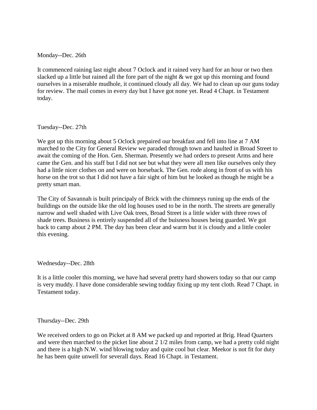Monday--Dec. 26th

It commenced raining last night about 7 Oclock and it rained very hard for an hour or two then slacked up a little but rained all the fore part of the night & we got up this morning and found ourselves in a miserable mudhole, it continued cloudy all day. We had to clean up our guns today for review. The mail comes in every day but I have got none yet. Read 4 Chapt. in Testament today.

Tuesday--Dec. 27th

We got up this morning about 5 Oclock prepaired our breakfast and fell into line at 7 AM marched to the City for General Review we paraded through town and haulted in Broad Street to await the coming of the Hon. Gen. Sherman. Presently we had orders to present Arms and here came the Gen. and his staff but I did not see but what they were all men like ourselves only they had a little nicer clothes on and were on horseback. The Gen. rode along in front of us with his horse on the trot so that I did not have a fair sight of him but he looked as though he might be a pretty smart man.

The City of Savannah is built principaly of Brick with the chimneys runing up the ends of the buildings on the outside like the old log houses used to be in the north. The streets are generally narrow and well shaded with Live Oak trees, Broad Street is a little wider with three rows of shade trees. Business is entirely suspended all of the buisness houses being guarded. We got back to camp about 2 PM. The day has been clear and warm but it is cloudy and a little cooler this evening.

Wednesday--Dec. 28th

It is a little cooler this morning, we have had several pretty hard showers today so that our camp is very muddy. I have done considerable sewing todday fixing up my tent cloth. Read 7 Chapt. in Testament today.

Thursday--Dec. 29th

We received orders to go on Picket at 8 AM we packed up and reported at Brig. Head Quarters and were then marched to the picket line about 2 1/2 miles from camp, we had a pretty cold night and there is a high N.W. wind blowing today and quite cool but clear. Meekor is not fit for duty he has been quite unwell for severall days. Read 16 Chapt. in Testament.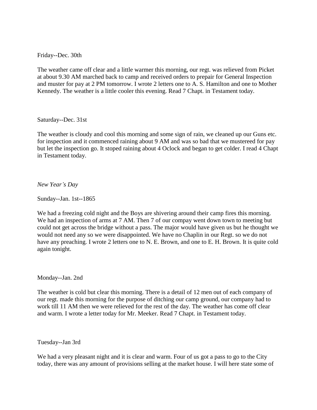Friday--Dec. 30th

The weather came off clear and a little warmer this morning, our regt. was relieved from Picket at about 9.30 AM marched back to camp and received orders to prepair for General Inspection and muster for pay at 2 PM tomorrow. I wrote 2 letters one to A. S. Hamilton and one to Mother Kennedy. The weather is a little cooler this evening. Read 7 Chapt. in Testament today.

Saturday--Dec. 31st

The weather is cloudy and cool this morning and some sign of rain, we cleaned up our Guns etc. for inspection and it commenced raining about 9 AM and was so bad that we mustereed for pay but let the inspection go. It stoped raining about 4 Oclock and began to get colder. I read 4 Chapt in Testament today.

*New Year's Day*

Sunday--Jan. 1st--1865

We had a freezing cold night and the Boys are shivering around their camp fires this morning. We had an inspection of arms at 7 AM. Then 7 of our compay went down town to meeting but could not get across the bridge without a pass. The major would have given us but he thought we would not need any so we were disappointed. We have no Chaplin in our Regt. so we do not have any preaching. I wrote 2 letters one to N. E. Brown, and one to E. H. Brown. It is quite cold again tonight.

Monday--Jan. 2nd

The weather is cold but clear this morning. There is a detail of 12 men out of each company of our regt. made this morning for the purpose of ditching our camp ground, our company had to work till 11 AM then we were relieved for the rest of the day. The weather has come off clear and warm. I wrote a letter today for Mr. Meeker. Read 7 Chapt. in Testament today.

Tuesday--Jan 3rd

We had a very pleasant night and it is clear and warm. Four of us got a pass to go to the City today, there was any amount of provisions selling at the market house. I will here state some of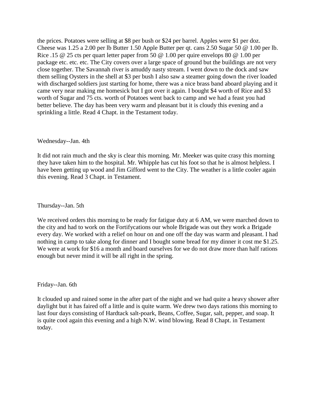the prices. Potatoes were selling at \$8 per bush or \$24 per barrel. Apples were \$1 per doz. Cheese was 1.25 a 2.00 per lb Butter 1.50 Apple Butter per qt. cans 2.50 Sugar 50 @ 1.00 per lb. Rice .15 @ 25 cts per quart letter paper from 50 @ 1.00 per quire envelops 80 @ 1.00 per package etc. etc. etc. The City covers over a large space of ground but the buildings are not very close together. The Savannah river is amuddy nasty stream. I went down to the dock and saw them selling Oysters in the shell at \$3 per bush I also saw a steamer going down the river loaded with discharged soldiers just starting for home, there was a nice brass band aboard playing and it came very near making me homesick but I got over it again. I bought \$4 worth of Rice and \$3 worth of Sugar and 75 cts. worth of Potatoes went back to camp and we had a feast you had better believe. The day has been very warm and pleasant but it is cloudy this evening and a sprinkling a little. Read 4 Chapt. in the Testament today.

#### Wednesday--Jan. 4th

It did not rain much and the sky is clear this morning. Mr. Meeker was quite crasy this morning they have taken him to the hospital. Mr. Whipple has cut his foot so that he is almost helpless. I have been getting up wood and Jim Gifford went to the City. The weather is a little cooler again this evening. Read 3 Chapt. in Testament.

Thursday--Jan. 5th

We received orders this morning to be ready for fatigue duty at 6 AM, we were marched down to the city and had to work on the Fortifycations our whole Brigade was out they work a Brigade every day. We worked with a relief on hour on and one off the day was warm and pleasant. I had nothing in camp to take along for dinner and I bought some bread for my dinner it cost me \$1.25. We were at work for \$16 a month and board ourselves for we do not draw more than half rations enough but never mind it will be all right in the spring.

Friday--Jan. 6th

It clouded up and rained some in the after part of the night and we had quite a heavy shower after daylight but it has faired off a little and is quite warm. We drew two days rations this morning to last four days consisting of Hardtack salt-poark, Beans, Coffee, Sugar, salt, pepper, and soap. It is quite cool again this evening and a high N.W. wind blowing. Read 8 Chapt. in Testament today.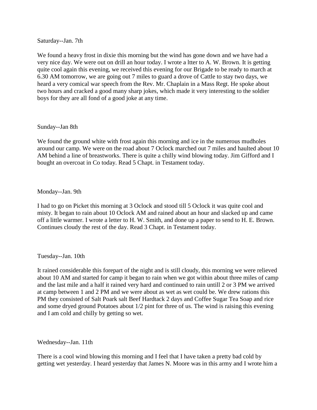Saturday--Jan. 7th

We found a heavy frost in dixie this morning but the wind has gone down and we have had a very nice day. We were out on drill an hour today. I wrote a ltter to A. W. Brown. It is getting quite cool again this evening, we received this evening for our Brigade to be ready to march at 6.30 AM tomorrow, we are going out 7 miles to guard a drove of Cattle to stay two days, we heard a very comical war speech from the Rev. Mr. Chaplain in a Mass Regt. He spoke about two hours and cracked a good many sharp jokes, which made it very interesting to the soldier boys for they are all fond of a good joke at any time.

## Sunday--Jan 8th

We found the ground white with frost again this morning and ice in the numerous mudholes around our camp. We were on the road about 7 Oclock marched out 7 miles and haulted about 10 AM behind a line of breastworks. There is quite a chilly wind blowing today. Jim Gifford and I bought an overcoat in Co today. Read 5 Chapt. in Testament today.

# Monday--Jan. 9th

I had to go on Picket this morning at 3 Oclock and stood till 5 Oclock it was quite cool and misty. It began to rain about 10 Oclock AM and rained about an hour and slacked up and came off a little warmer. I wrote a letter to H. W. Smith, and done up a paper to send to H. E. Brown. Continues cloudy the rest of the day. Read 3 Chapt. in Testament today.

#### Tuesday--Jan. 10th

It rained considerable this forepart of the night and is still cloudy, this morning we were relieved about 10 AM and started for camp it began to rain when we got within about three miles of camp and the last mile and a half it rained very hard and continued to rain untill 2 or 3 PM we arrived at camp between 1 and 2 PM and we were about as wet as wet could be. We drew rations this PM they consisted of Salt Poark salt Beef Hardtack 2 days and Coffee Sugar Tea Soap and rice and some dryed ground Potatoes about 1/2 pint for three of us. The wind is raising this evening and I am cold and chilly by getting so wet.

#### Wednesday--Jan. 11th

There is a cool wind blowing this morning and I feel that I have taken a pretty bad cold by getting wet yesterday. I heard yesterday that James N. Moore was in this army and I wrote him a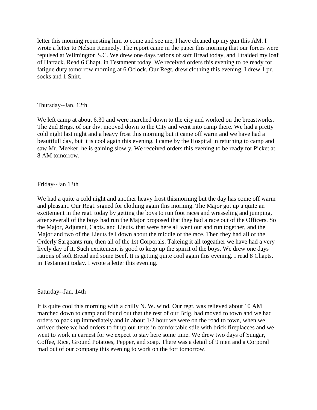letter this morning requesting him to come and see me, I have cleaned up my gun this AM. I wrote a letter to Nelson Kennedy. The report came in the paper this morning that our forces were repulsed at Wilmington S.C. We drew one days rations of soft Bread today, and I traided my loaf of Hartack. Read 6 Chapt. in Testament today. We received orders this evening to be ready for fatigue duty tomorrow morning at 6 Oclock. Our Regt. drew clothing this evening. I drew 1 pr. socks and 1 Shirt.

# Thursday--Jan. 12th

We left camp at about 6.30 and were marched down to the city and worked on the breastworks. The 2nd Brigs. of our div. mooved down to the City and went into camp there. We had a pretty cold night last night and a heavy frost this morning but it came off warm and we have had a beautifull day, but it is cool again this evening. I came by the Hospital in returning to camp and saw Mr. Meeker, he is gaining slowly. We received orders this evening to be ready for Picket at 8 AM tomorrow.

# Friday--Jan 13th

We had a quite a cold night and another heavy frost thismorning but the day has come off warm and pleasant. Our Regt. signed for clothing again this morning. The Major got up a quite an excitement in the regt. today by getting the boys to run foot races and wresseling and jumping, after severall of the boys had run the Major proposed that they had a race out of the Officers. So the Major, Adjutant, Capts. and Lieuts. that were here all went out and run together, and the Major and two of the Lieuts fell down about the middle of the race. Then they had all of the Orderly Sargeants run, then all of the 1st Corporals. Takeing it all togeather we have had a very lively day of it. Such excitement is good to keep up the spirrit of the boys. We drew one days rations of soft Bread and some Beef. It is getting quite cool again this evening. I read 8 Chapts. in Testament today. I wrote a letter this evening.

# Saturday--Jan. 14th

It is quite cool this morning with a chilly N. W. wind. Our regt. was relieved about 10 AM marched down to camp and found out that the rest of our Brig. had moved to town and we had orders to pack up immediately and in about 1/2 hour we were on the road to town, when we arrived there we had orders to fit up our tents in comfortable stile with brick fireplacces and we went to work in earnest for we expect to stay here some time. We drew two days of Suugar, Coffee, Rice, Ground Potatoes, Pepper, and soap. There was a detail of 9 men and a Corporal mad out of our company this evening to work on the fort tomorrow.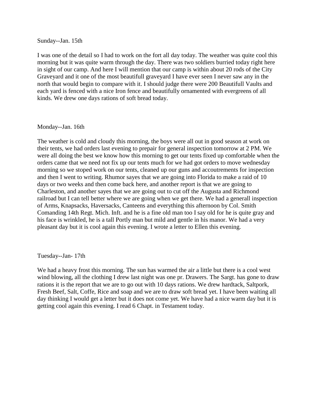#### Sunday--Jan. 15th

I was one of the detail so I had to work on the fort all day today. The weather was quite cool this morning but it was quite warm through the day. There was two soldiers burried today right here in sight of our camp. And here I will mention that our camp is within about 20 rods of the City Graveyard and it one of the most beautifull graveyard I have ever seen I never saw any in the north that would begin to compare with it. I should judge there were 200 Beautifull Vaults and each yard is fenced with a nice Iron fence and beautifully ornamented with evergreens of all kinds. We drew one days rations of soft bread today.

#### Monday--Jan. 16th

The weather is cold and cloudy this morning, the boys were all out in good season at work on their tents, we had orders last evening to prepair for general inspection tomorrow at 2 PM. We were all doing the best we know how this morning to get our tents fixed up comfortable when the orders came that we need not fix up our tents much for we had got orders to move wednesday morning so we stoped work on our tents, cleaned up our guns and accoutrements for inspection and then I went to writing. Rhumor sayes that we are going into Florida to make a raid of 10 days or two weeks and then come back here, and another report is that we are going to Charleston, and another sayes that we are going out to cut off the Augusta and Richmond railroad but I can tell better where we are going when we get there. We had a generall inspection of Arms, Knapsacks, Haversacks, Canteens and everything this afternoon by Col. Smith Comanding 14th Regt. Mich. Inft. and he is a fine old man too I say old for he is quite gray and his face is wrinkled, he is a tall Portly man but mild and gentle in his manor. We had a very pleasant day but it is cool again this evening. I wrote a letter to Ellen this evening.

Tuesday--Jan- 17th

We had a heavy frost this morning. The sun has warmed the air a little but there is a cool west wind blowing, all the clothing I drew last night was one pr. Drawers. The Sargt. has gone to draw rations it is the report that we are to go out with 10 days rations. We drew hardtack, Saltpork, Fresh Beef, Salt, Coffe, Rice and soap and we are to draw soft bread yet. I have been waiting all day thinking I would get a letter but it does not come yet. We have had a nice warm day but it is getting cool again this evening. I read 6 Chapt. in Testament today.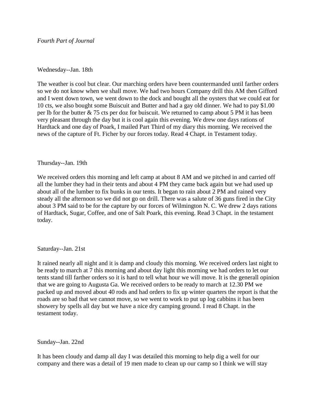# *Fourth Part of Journal*

# Wednesday--Jan. 18th

The weather is cool but clear. Our marching orders have been countermanded until farther orders so we do not know when we shall move. We had two hours Company drill this AM then Gifford and I went down town, we went down to the dock and bought all the oysters that we could eat for 10 cts, we also bought some Buiscuit and Butter and had a gay old dinner. We had to pay \$1.00 per lb for the butter & 75 cts per doz for buiscuit. We returned to camp about 5 PM it has been very pleasant through the day but it is cool again this evening. We drew one days rations of Hardtack and one day of Poark, I mailed Part Third of my diary this morning. We received the news of the capture of Ft. Ficher by our forces today. Read 4 Chapt. in Testament today.

## Thursday--Jan. 19th

We received orders this morning and left camp at about 8 AM and we pitched in and carried off all the lumber they had in their tents and about 4 PM they came back again but we had used up about all of the lumber to fix bunks in our tents. It began to rain about 2 PM and rained very steady all the afternoon so we did not go on drill. There was a salute of 36 guns fired in the City about 3 PM said to be for the capture by our forces of Wilmington N. C. We drew 2 days rations of Hardtack, Sugar, Coffee, and one of Salt Poark, this evening. Read 3 Chapt. in the testament today.

#### Saturday--Jan. 21st

It rained nearly all night and it is damp and cloudy this morning. We received orders last night to be ready to march at 7 this morning and about day light this morning we had orders to let our tents stand till farther orders so it is hard to tell what hour we will move. It is the generall opinion that we are going to Augusta Ga. We received orders to be ready to march at 12.30 PM we packed up and moved about 40 rods and had orders to fix up winter quarters the report is that the roads are so bad that we cannot move, so we went to work to put up log cabbins it has been showery by spells all day but we have a nice dry camping ground. I read 8 Chapt. in the testament today.

Sunday--Jan. 22nd

It has been cloudy and damp all day I was detailed this morning to help dig a well for our company and there was a detail of 19 men made to clean up our camp so I think we will stay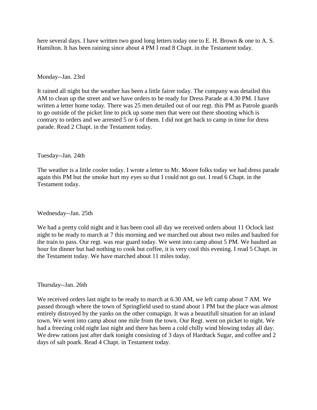here several days. I have written two good long letters today one to E. H. Brown & one to A. S. Hamilton. It has been raining since about 4 PM I read 8 Chapt. in the Testament today.

# Monday--Jan. 23rd

It rained all night but the weather has been a little fairer today. The company was detailed this AM to clean up the street and we have orders to be ready for Dress Parade at 4.30 PM. I have written a letter home today. There was 25 men detailed out of our regt. this PM as Patrole guards to go outside of the picket line to pick up some men that were out there shooting which is contrary to orders and we arrested 5 or 6 of them. I did not get back to camp in time for dress parade. Read 2 Chapt. in the Testament today.

## Tuesday--Jan. 24th

The weather is a little cooler today. I wrote a letter to Mr. Moore folks today we had dress parade again this PM but the smoke hurt my eyes so that I could not go out. I read 6 Chapt. in the Testament today.

# Wednesday--Jan. 25th

We had a pretty cold night and it has been cool all day we received orders about 11 Oclock last night to be ready to march at 7 this morning and we marched out about two miles and haulted for the train to pass. Our regt. was rear guard today. We went into camp about 5 PM. We haulted an hour for dinner but had nothing to cook but coffee, it is very cool this evening. I read 5 Chapt. in the Testament today. We have marched about 11 miles today.

# Thursday--Jan. 26th

We received orders last night to be ready to march at 6.30 AM, we left camp about 7 AM. We passed through where the town of Springfield used to stand about 1 PM but the place was almost entirely distroyed by the yanks on the other comapign. It was a beautifull situation for an inland town. We went into camp about one mile from the town. Our Regt. went on picket to night. We had a freezing cold night last night and there has been a cold chilly wind blowing today all day. We drew rations just after dark tonight consisting of 3 days of Hardtack Sugar, and coffee and 2 days of salt poark. Read 4 Chapt. in Testament today.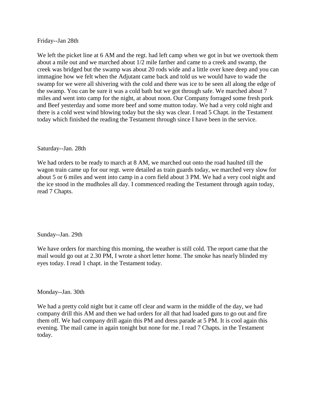Friday--Jan 28th

We left the picket line at 6 AM and the regt. had left camp when we got in but we overtook them about a mile out and we marched about 1/2 mile farther and came to a creek and swamp, the creek was bridged but the swamp was about 20 rods wide and a little over knee deep and you can immagine how we felt when the Adjutant came back and told us we would have to wade the swamp for we were all shivering with the cold and there was ice to be seen all along the edge of the swamp. You can be sure it was a cold bath but we got through safe. We marched about 7 miles and went into camp for the night, at about noon. Our Company forraged some fresh pork and Beef yesterday and some more beef and some mutton today. We had a very cold night and there is a cold west wind blowing today but the sky was clear. I read 5 Chapt. in the Testament today which finished the reading the Testament through since I have been in the service.

# Saturday--Jan. 28th

We had orders to be ready to march at 8 AM, we marched out onto the road haulted till the wagon train came up for our regt. were detailed as train guards today, we marched very slow for about 5 or 6 miles and went into camp in a corn field about 3 PM. We had a very cool night and the ice stood in the mudholes all day. I commenced reading the Testament through again today, read 7 Chapts.

# Sunday--Jan. 29th

We have orders for marching this morning, the weather is still cold. The report came that the mail would go out at 2.30 PM, I wrote a short letter home. The smoke has nearly blinded my eyes today. I read 1 chapt. in the Testament today.

# Monday--Jan. 30th

We had a pretty cold night but it came off clear and warm in the middle of the day, we had company drill this AM and then we had orders for all that had loaded guns to go out and fire them off. We had company drill again this PM and dress parade at 5 PM. It is cool again this evening. The mail came in again tonight but none for me. I read 7 Chapts. in the Testament today.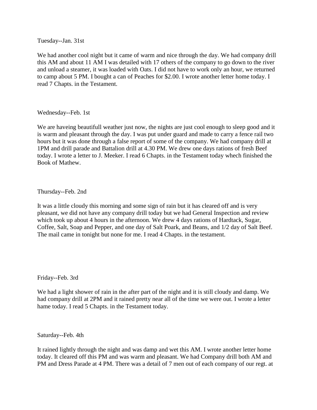Tuesday--Jan. 31st

We had another cool night but it came of warm and nice through the day. We had company drill this AM and about 11 AM I was detailed with 17 others of the company to go down to the river and unload a steamer, it was loaded with Oats. I did not have to work only an hour, we returned to camp about 5 PM. I bought a can of Peaches for \$2.00. I wrote another letter home today. I read 7 Chapts. in the Testament.

Wednesday--Feb. 1st

We are haveing beautifull weather just now, the nights are just cool enough to sleep good and it is warm and pleasant through the day. I was put under guard and made to carry a fence rail two hours but it was done through a false report of some of the company. We had company drill at 1PM and drill parade and Battalion drill at 4.30 PM. We drew one days rations of fresh Beef today. I wrote a letter to J. Meeker. I read 6 Chapts. in the Testament today whech finished the Book of Mathew.

# Thursday--Feb. 2nd

It was a little cloudy this morning and some sign of rain but it has cleared off and is very pleasant, we did not have any company drill today but we had General Inspection and review which took up about 4 hours in the afternoon. We drew 4 days rations of Hardtack, Sugar, Coffee, Salt, Soap and Pepper, and one day of Salt Poark, and Beans, and 1/2 day of Salt Beef. The mail came in tonight but none for me. I read 4 Chapts. in the testament.

Friday--Feb. 3rd

We had a light shower of rain in the after part of the night and it is still cloudy and damp. We had company drill at 2PM and it rained pretty near all of the time we were out. I wrote a letter hame today. I read 5 Chapts. in the Testament today.

Saturday--Feb. 4th

It rained lightly through the night and was damp and wet this AM. I wrote another letter home today. It cleared off this PM and was warm and pleasant. We had Company drill both AM and PM and Dress Parade at 4 PM. There was a detail of 7 men out of each company of our regt. at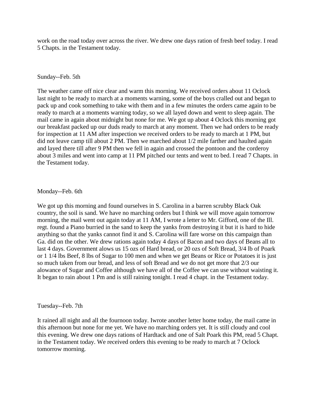work on the road today over across the river. We drew one days ration of fresh beef today. I read 5 Chapts. in the Testament today.

#### Sunday--Feb. 5th

The weather came off nice clear and warm this morning. We received orders about 11 Oclock last night to be ready to march at a moments warning, some of the boys cralled out and began to pack up and cook something to take with them and in a few minutes the orders came again to be ready to march at a moments warning today, so we all layed down and went to sleep again. The mail came in again about midnight but none for me. We got up about 4 Oclock this morning got our breakfast packed up our duds ready to march at any moment. Then we had orders to be ready for inspection at 11 AM after inspection we received orders to be ready to march at 1 PM, but did not leave camp till about 2 PM. Then we marched about 1/2 mile farther and haulted again and layed there till after 9 PM then we fell in again and crossed the pontoon and the corderoy about 3 miles and went into camp at 11 PM pitched our tents and went to bed. I read 7 Chapts. in the Testament today.

## Monday--Feb. 6th

We got up this morning and found ourselves in S. Carolina in a barren scrubby Black Oak country, the soil is sand. We have no marching orders but I think we will move again tomorrow morning, the mail went out again today at 11 AM, I wrote a letter to Mr. Gifford, one of the Ill. regt. found a Piano burried in the sand to keep the yanks from destroying it but it is hard to hide anything so that the yanks cannot find it and S. Carolina will fare worse on this campaign than Ga. did on the other. We drew rations again today 4 days of Bacon and two days of Beans all to last 4 days. Government alows us 15 ozs of Hard bread, or 20 ozs of Soft Bread, 3/4 lb of Poark or 1 1/4 lbs Beef, 8 lbs of Sugar to 100 men and when we get Beans or Rice or Potatoes it is just so much taken from our bread, and less of soft Bread and we do not get more that 2/3 our alowance of Sugar and Coffee although we have all of the Coffee we can use without waisting it. It began to rain about 1 Pm and is still raining tonight. I read 4 chapt. in the Testament today.

#### Tuesday--Feb. 7th

It rained all night and all the fournoon today. Iwrote another letter home today, the mail came in this afternoon but none for me yet. We have no marching orders yet. It is still cloudy and cool this evening. We drew one days rations of Hardtack and one of Salt Poark this PM, read 5 Chapt. in the Testament today. We received orders this evening to be ready to march at 7 Oclock tomorrow morning.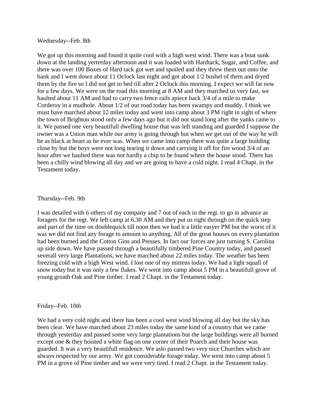#### Wednesday--Feb. 8th

We got up this morning and found it quite cool with a high west wind. There was a boat sunk down at the landing yerterday afternoon and it was loaded with Hardtack, Sugar, and Coffee, and there was over 100 Boxes of Hard tack got wet and spoiled and they threw them out onto the bank and I went down about 11 Oclock last night and got about 1/2 bushel of them and dryed them by the fire so I did not get to bed till after 2 Oclock this morning. I expect we will fat now for a few days. We were on the road this morning at 8 AM and they marched us very fast, we haulted about 11 AM and had to carry two fence rails apiece back 3/4 of a mile to make Corderoy in a mudhole. About 1/2 of our road today has been swampy and muddy. I think we must have marched about 12 miles today and went into camp about 3 PM right in sight of where the town of Brighton stood only a few days ago but it did not stand long after the yanks came to it. We passed one very beautifull dwelling house that was left standing and guarded I suppose the owner was a Union man while our army is going through but when we get out of the way he will be as black at heart as he ever was. When we came into camp there was quite a large building close by but the boys were not long tearing it down and carrying it off for fire wood 3/4 of an hour after we haulted there was not hardly a chip to be found where the house stood. There has been a chilly wind blowing all day and we are going to have a cold night. I read 4 Chapt. in the Testament today.

#### Thursday--Feb. 9th

I was detailed with 6 others of my company and 7 out of each in the regt. to go in advance as foragers for the regt. We left camp at 6.30 AM and they put us right through on the quick step and part of the time on doublequick till noon then we had it a little easyer PM but the worst of it was we did not find any forage to amount to anything. All of the great houses on every plantation had been burned and the Cotton Gins and Presses. In fact our forces are just turning S. Carolina up side down. We have passed through a beautifully timbered Pine Country today, and passed severall very large Plantations, we have marched about 22 miles today. The weather has been freezing cold with a high West wind. I lost one of my mittens today. We had a light squall of snow today but it was only a few flakes. We went into camp about 5 PM in a beautifull grove of young groath Oak and Pine timber. I read 2 Chapt. in the Testament today.

## Friday--Feb. 10th

We had a very cold night and there has been a cool west wind blowing all day but the sky has been clear. We have marched about 23 miles today the same kind of a country that we came through yesterday and passed some very large plantations but the large buildings were all burned except one & they hoisted a white flag on one corner of their Poarch and their house was guarded. It was a very beautifull residence. We aslo passed two very nice Churches which are always respected by our army. We got considerable forage today. We went into camp about 5 PM in a grove of Pine timber and we were very tired. I read 2 Chapt. in the Testament today.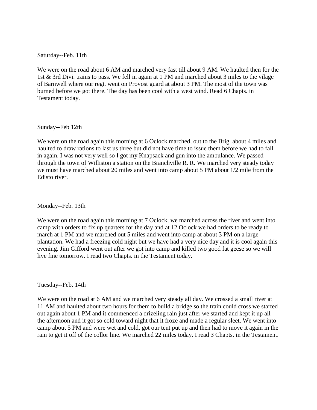Saturday--Feb. 11th

We were on the road about 6 AM and marched very fast till about 9 AM. We haulted then for the 1st & 3rd Divi. trains to pass. We fell in again at 1 PM and marched about 3 miles to the vilage of Barnwell where our regt. went on Provost guard at about 3 PM. The most of the town was burned before we got there. The day has been cool with a west wind. Read 6 Chapts. in Testament today.

Sunday--Feb 12th

We were on the road again this morning at 6 Oclock marched, out to the Brig. about 4 miles and haulted to draw rations to last us three but did not have time to issue them before we had to fall in again. I was not very well so I got my Knapsack and gun into the ambulance. We passed through the town of Williston a station on the Branchville R. R. We marched very steady today we must have marched about 20 miles and went into camp about 5 PM about 1/2 mile from the Edisto river.

Monday--Feb. 13th

We were on the road again this morning at 7 Oclock, we marched across the river and went into camp with orders to fix up quarters for the day and at 12 Oclock we had orders to be ready to march at 1 PM and we marched out 5 miles and went into camp at about 3 PM on a large plantation. We had a freezing cold night but we have had a very nice day and it is cool again this evening. Jim Gifford went out after we got into camp and killed two good fat geese so we will live fine tomorrow. I read two Chapts. in the Testament today.

Tuesday--Feb. 14th

We were on the road at 6 AM and we marched very steady all day. We crossed a small river at 11 AM and haulted about two hours for them to build a bridge so the train could cross we started out again about 1 PM and it commenced a drizeling rain just after we started and kept it up all the afternoon and it got so cold toward night that it froze and made a regular sleet. We went into camp about 5 PM and were wet and cold, got our tent put up and then had to move it again in the rain to get it off of the collor line. We marched 22 miles today. I read 3 Chapts. in the Testament.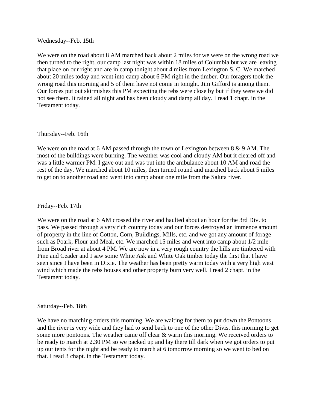Wednesday--Feb. 15th

We were on the road about 8 AM marched back about 2 miles for we were on the wrong road we then turned to the right, our camp last night was within 18 miles of Columbia but we are leaving that place on our right and are in camp tonight about 4 miles from Lexington S. C. We marched about 20 miles today and went into camp about 6 PM right in the timber. Our foragers took the wrong road this morning and 5 of them have not come in tonight. Jim Gifford is among them. Our forces put out skirmishes this PM expecting the rebs were close by but if they were we did not see them. It rained all night and has been cloudy and damp all day. I read 1 chapt. in the Testament today.

#### Thursday--Feb. 16th

We were on the road at 6 AM passed through the town of Lexington between 8 & 9 AM. The most of the buildings were burning. The weather was cool and cloudy AM but it cleared off and was a little warmer PM. I gave out and was put into the ambulance about 10 AM and road the rest of the day. We marched about 10 miles, then turned round and marched back about 5 miles to get on to another road and went into camp about one mile from the Saluta river.

#### Friday--Feb. 17th

We were on the road at 6 AM crossed the river and haulted about an hour for the 3rd Div. to pass. We passed through a very rich country today and our forces destroyed an immence amount of property in the line of Cotton, Corn, Buildings, Mills, etc. and we got any amount of forage such as Poark, Flour and Meal, etc. We marched 15 miles and went into camp about 1/2 mile from Broad river at about 4 PM. We are now in a very rough country the hills are timbered with Pine and Ceader and I saw some White Ask and White Oak timber today the first that I have seen since I have been in Dixie. The weather has been pretty warm today with a very high west wind which made the rebs houses and other property burn very well. I read 2 chapt. in the Testament today.

#### Saturday--Feb. 18th

We have no marching orders this morning. We are waiting for them to put down the Pontoons and the river is very wide and they had to send back to one of the other Divis. this morning to get some more pontoons. The weather came off clear & warm this morning. We received orders to be ready to march at 2.30 PM so we packed up and lay there till dark when we got orders to put up our tents for the night and be ready to march at 6 tomorrow morning so we went to bed on that. I read 3 chapt. in the Testament today.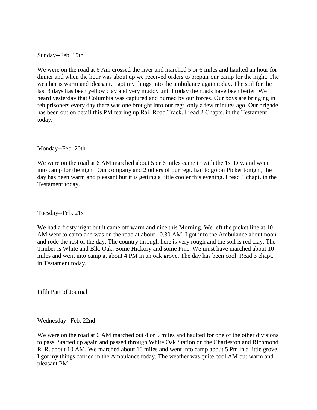Sunday--Feb. 19th

We were on the road at 6 Am crossed the river and marched 5 or 6 miles and haulted an hour for dinner and when the hour was about up we received orders to prepair our camp for the night. The weather is warm and pleasant. I got my things into the ambulance again today. The soil for the last 3 days has been yellow clay and very muddy untill today the roads have been better. We heard yesterday that Columbia was captured and burned by our forces. Our boys are bringing in reb prisoners every day there was one brought into our regt. only a few minutes ago. Our brigade has been out on detail this PM tearing up Rail Road Track. I read 2 Chapts. in the Testament today.

Monday--Feb. 20th

We were on the road at 6 AM marched about 5 or 6 miles came in with the 1st Div. and went into camp for the night. Our company and 2 others of our regt. had to go on Picket tonight, the day has been warm and pleasant but it is getting a little cooler this evening. I read 1 chapt. in the Testament today.

Tuesday--Feb. 21st

We had a frosty night but it came off warm and nice this Morning. We left the picket line at 10 AM went to camp and was on the road at about 10.30 AM. I got into the Ambulance about noon and rode the rest of the day. The country through here is very rough and the soil is red clay. The Timber is White and Blk. Oak. Some Hickory and some Pine. We must have marched about 10 miles and went into camp at about 4 PM in an oak grove. The day has been cool. Read 3 chapt. in Testament today.

Fifth Part of Journal

Wednesday--Feb. 22nd

We were on the road at 6 AM marched out 4 or 5 miles and haulted for one of the other divisions to pass. Started up again and passed through White Oak Station on the Charleston and Richmond R. R. about 10 AM. We marched about 10 miles and went into camp about 5 Pm in a little grove. I got my things carried in the Ambulance today. The weather was quite cool AM but warm and pleasant PM.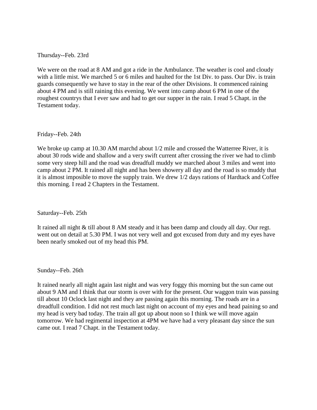Thursday--Feb. 23rd

We were on the road at 8 AM and got a ride in the Ambulance. The weather is cool and cloudy with a little mist. We marched 5 or 6 miles and haulted for the 1st Div. to pass. Our Div. is train guards consequently we have to stay in the rear of the other Divisions. It commenced raining about 4 PM and is still raining this evening. We went into camp about 6 PM in one of the roughest countrys that I ever saw and had to get our supper in the rain. I read 5 Chapt. in the Testament today.

Friday--Feb. 24th

We broke up camp at 10.30 AM marchd about 1/2 mile and crossed the Watterree River, it is about 30 rods wide and shallow and a very swift current after crossing the river we had to climb some very steep hill and the road was dreadfull muddy we marched about 3 miles and went into camp about 2 PM. It rained all night and has been showery all day and the road is so muddy that it is almost imposible to move the supply train. We drew 1/2 days rations of Hardtack and Coffee this morning. I read 2 Chapters in the Testament.

Saturday--Feb. 25th

It rained all night & till about 8 AM steady and it has been damp and cloudy all day. Our regt. went out on detail at 5.30 PM. I was not very well and got excused from duty and my eyes have been nearly smoked out of my head this PM.

Sunday--Feb. 26th

It rained nearly all night again last night and was very foggy this morning but the sun came out about 9 AM and I think that our storm is over with for the present. Our waggon train was passing till about 10 Oclock last night and they are passing again this morning. The roads are in a dreadfull condition. I did not rest much last night on account of my eyes and head paining so and my head is very bad today. The train all got up about noon so I think we will move again tomorrow. We had regimental inspection at 4PM we have had a very pleasant day since the sun came out. I read 7 Chapt. in the Testament today.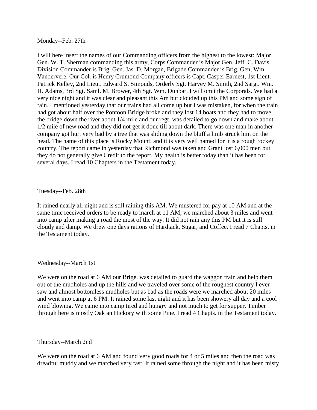Monday--Feb. 27th

I will here insert the names of our Commanding officers from the highest to the lowest: Major Gen. W. T. Sherman commanding this army, Corps Commander is Major Gen. Jeff. C. Davis, Division Commander is Brig. Gen. Jas. D. Morgan, Brigade Commander is Brig. Gen, Wm. Vandervere. Our Col. is Henry Crumond Company officers is Capt. Casper Earnest, 1st Lieut. Patrick Kelley, 2nd Lieut. Edward S. Simonds, Orderly Sgt. Harvey M. Smith, 2nd Sargt. Wm. H. Adams, 3rd Sgt. Saml. M. Brower, 4th Sgt. Wm. Dunbar. I will omit the Corporals. We had a very nice night and it was clear and pleasant this Am but clouded up this PM and some sign of rain. I mentioned yesterday that our trains had all come up but I was mistaken, for when the train had got about half over the Pontoon Bridge broke and they lost 14 boats and they had to move the bridge down the river about 1/4 mile and our regt. was detailed to go down and make about 1/2 mile of new road and they did not get it done till about dark. There was one man in another company got hurt very bad by a tree that was sliding down the bluff a limb struck him on the head. The name of this place is Rocky Mount. and it is very well named for it is a rough rockey country. The report came in yesterday that Richmond was taken and Grant lost 6,000 men but they do not generally give Credit to the report. My health is better today than it has been for several days. I read 10 Chapters in the Testament today.

# Tuesday--Feb. 28th

It rained nearly all night and is still raining this AM. We mustered for pay at 10 AM and at the same time received orders to be ready to march at 11 AM, we marched about 3 miles and went into camp after making a road the most of the way. It did not rain any this PM but it is still cloudy and damp. We drew one days rations of Hardtack, Sugar, and Coffee. I read 7 Chapts. in the Testament today.

# Wednesday--March 1st

We were on the road at 6 AM our Brige. was detailed to guard the waggon train and help them out of the mudholes and up the hills and we traveled over some of the roughest country I ever saw and almost bottomless mudholes but as bad as the roads were we marched about 20 miles and went into camp at 6 PM. It rained some last night and it has been showery all day and a cool wind blowing. We came into camp tired and hungry and not much to get for supper. Timber through here is mostly Oak an Hickory with some Pine. I read 4 Chapts. in the Testament today.

# Thursday--March 2nd

We were on the road at 6 AM and found very good roads for 4 or 5 miles and then the road was dreadful muddy and we marched very fast. It rained some through the night and it has been misty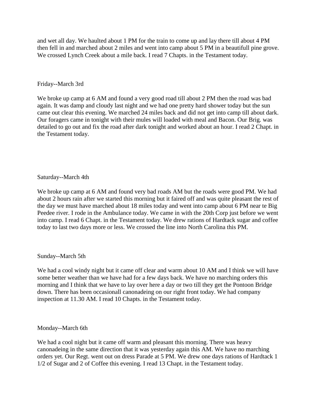and wet all day. We haulted about 1 PM for the train to come up and lay there till about 4 PM then fell in and marched about 2 miles and went into camp about 5 PM in a beautifull pine grove. We crossed Lynch Creek about a mile back. I read 7 Chapts. in the Testament today.

# Friday--March 3rd

We broke up camp at 6 AM and found a very good road till about 2 PM then the road was bad again. It was damp and cloudy last night and we had one pretty hard shower today but the sun came out clear this evening. We marched 24 miles back and did not get into camp till about dark. Our foragers came in tonight with their mules will loaded with meal and Bacon. Our Brig. was detailed to go out and fix the road after dark tonight and worked about an hour. I read 2 Chapt. in the Testament today.

# Saturday--March 4th

We broke up camp at 6 AM and found very bad roads AM but the roads were good PM. We had about 2 hours rain after we started this morning but it faired off and was quite pleasant the rest of the day we must have marched about 18 miles today and went into camp about 6 PM near te Big Peedee river. I rode in the Ambulance today. We came in with the 20th Corp just before we went into camp. I read 6 Chapt. in the Testament today. We drew rations of Hardtack sugar and coffee today to last two days more or less. We crossed the line into North Carolina this PM.

# Sunday--March 5th

We had a cool windy night but it came off clear and warm about 10 AM and I think we will have some better weather than we have had for a few days back. We have no marching orders this morning and I think that we have to lay over here a day or two till they get the Pontoon Bridge down. There has been occasionall canonadeing on our right front today. We had company inspection at 11.30 AM. I read 10 Chapts. in the Testament today.

# Monday--March 6th

We had a cool night but it came off warm and pleasant this morning. There was heavy canonadeing in the same direction that it was yesterday again this AM. We have no marching orders yet. Our Regt. went out on dress Parade at 5 PM. We drew one days rations of Hardtack 1 1/2 of Sugar and 2 of Coffee this evening. I read 13 Chapt. in the Testament today.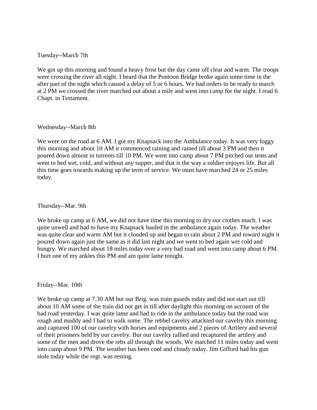# Tuesday--March 7th

We got up this morning and found a heavy frost but the day came off clear and warm. The troops were crossing the river all night. I heard that the Pontoon Bridge broke again some time in the after part of the night which caused a delay of 5 or 6 hours. We had orders to be ready to march at 2 PM we crossed the river marched out about a mile and went into camp for the night. I read 6 Chapt. in Testament.

#### Wednesday--March 8th

We were on the road at 6 AM. I got my Knapsack into the Ambulance today. It was very foggy this morning and about 10 AM it commenced raining and rained till about 3 PM and then it poured down almost in torrents till 10 PM. We went into camp about 7 PM pitched our tents and went to bed wet, cold, and without any supper, and that is the way a soldier enjoyes life. But all this time goes towards making up the term of service. We must have marched 24 or 25 miles today.

Thursday--Mar. 9th

We broke up camp at 6 AM, we did not have time this morning to dry our clothes much. I was quite unwell and had to have my Knapsack hauled in the ambulance again today. The weather was quite clear and warm AM but it clouded up and began to rain about 2 PM and toward night it poured down again just the same as it did last night and we went to bed again wet cold and hungry. We marched about 18 miles today over a very bad road and went into camp about 6 PM. I hurt one of my ankles this PM and am quite lame tonight.

# Friday--Mar. 10th

We broke up camp at 7.30 AM but our Brig. was train guards today and did not start out till about 10 AM some of the train did not get in till after daylight this morning on account of the bad road yesterday. I was quite lame and had to ride in the ambulance today but the road was rough and muddy and I had to walk some. The rebbel cavelry attackted our cavelry this morning and captured 100 of our cavelry with horses and equipments and 2 pieces of Artilery and several of their prisoners held by our cavelry. Bur our cavelry rallied and recaptured the artilery and some of the men and drove the rebs all through the woods. We marched 11 miles today and went into camp about 9 PM. The weather has been cool and cloudy today. Jim Gifford had his gun stole today while the regt. was resting.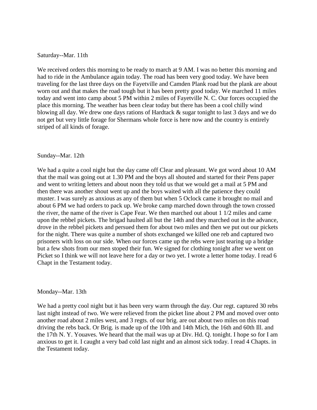#### Saturday--Mar. 11th

We received orders this morning to be ready to march at 9 AM. I was no better this morning and had to ride in the Ambulance again today. The road has been very good today. We have been traveling for the last three days on the Fayetville and Camden Plank road but the plank are about worn out and that makes the road tough but it has been pretty good today. We marched 11 miles today and went into camp about 5 PM within 2 miles of Fayetville N. C. Our forces occupied the place this morning. The weather has been clear today but there has been a cool chilly wind blowing all day. We drew one days rations of Hardtack & sugar tonight to last 3 days and we do not get but very little forage for Shermans whole force is here now and the country is entirely striped of all kinds of forage.

#### Sunday--Mar. 12th

We had a quite a cool night but the day came off Clear and pleasant. We got word about 10 AM that the mail was going out at 1.30 PM and the boys all shouted and started for their Pens paper and went to writing letters and about noon they told us that we would get a mail at 5 PM and then there was another shout went up and the boys waited with all the patience they could muster. I was surely as anxious as any of them but when 5 Oclock came it brought no mail and about 6 PM we had orders to pack up. We broke camp marched down through the town crossed the river, the name of the river is Cape Fear. We then marched out about 1 1/2 miles and came upon the rebbel pickets. The brigad haulted all but the 14th and they marched out in the advance, drove in the rebbel pickets and persued them for about two miles and then we put out our pickets for the night. There was quite a number of shots exchanged we killed one reb and captured two prisoners with loss on our side. When our forces came up the rebs were just tearing up a bridge but a few shots from our men stoped their fun. We signed for clothing tonight after we went on Picket so I think we will not leave here for a day or two yet. I wrote a letter home today. I read 6 Chapt in the Testament today.

#### Monday--Mar. 13th

We had a pretty cool night but it has been very warm through the day. Our regt. captured 30 rebs last night instead of two. We were relieved from the picket line about 2 PM and moved over onto another road about 2 miles west, and 3 regts. of our brig. are out about two miles on this road driving the rebs back. Or Brig. is made up of the 10th and 14th Mich, the 16th and 60th Ill. and the 17th N. Y. Youaves. We heard that the mail was up at Div. Hd. Q. tonight. I hope so for I am anxious to get it. I caught a very bad cold last night and an almost sick today. I read 4 Chapts. in the Testament today.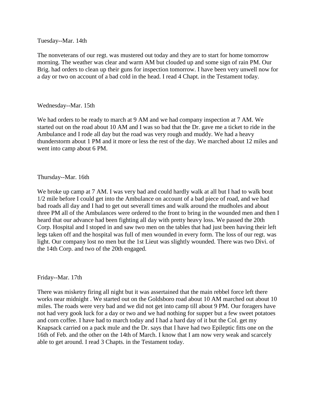#### Tuesday--Mar. 14th

The nonveterans of our regt. was mustered out today and they are to start for home tomorrow morning. The weather was clear and warm AM but clouded up and some sign of rain PM. Our Brig. had orders to clean up their guns for inspection tomorrow. I have been very unwell now for a day or two on account of a bad cold in the head. I read 4 Chapt. in the Testament today.

# Wednesday--Mar. 15th

We had orders to be ready to march at 9 AM and we had company inspection at 7 AM. We started out on the road about 10 AM and I was so bad that the Dr. gave me a ticket to ride in the Ambulance and I rode all day but the road was very rough and muddy. We had a heavy thunderstorm about 1 PM and it more or less the rest of the day. We marched about 12 miles and went into camp about 6 PM.

# Thursday--Mar. 16th

We broke up camp at 7 AM. I was very bad and could hardly walk at all but I had to walk bout 1/2 mile before I could get into the Ambulance on account of a bad piece of road, and we had bad roads all day and I had to get out severall times and walk around the mudholes and about three PM all of the Ambulances were ordered to the front to bring in the wounded men and then I heard that our advance had been fighting all day with pretty heavy loss. We passed the 20th Corp. Hospital and I stoped in and saw two men on the tables that had just been having their left legs taken off and the hospital was full of men wounded in every form. The loss of our regt. was light. Our company lost no men but the 1st Lieut was slightly wounded. There was two Divi. of the 14th Corp. and two of the 20th engaged.

Friday--Mar. 17th

There was misketry firing all night but it was assertained that the main rebbel force left there works near midnight . We started out on the Goldsboro road about 10 AM marched out about 10 miles. The roads were very bad and we did not get into camp till about 9 PM. Our foragers have not had very gook luck for a day or two and we had nothing for supper but a few sweet potatoes and corn coffee. I have had to march today and I had a hard day of it but the Col. get my Knapsack carried on a pack mule and the Dr. says that I have had two Epileptic fitts one on the 16th of Feb. and the other on the 14th of March. I know that I am now very weak and scarcely able to get around. I read 3 Chapts. in the Testament today.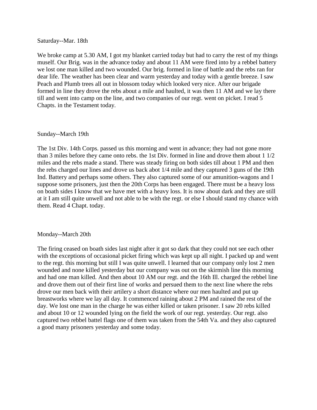Saturday--Mar. 18th

We broke camp at 5.30 AM, I got my blanket carried today but had to carry the rest of my things muself. Our Brig. was in the advance today and about 11 AM were fired into by a rebbel battery we lost one man killed and two wounded. Our brig. formed in line of battle and the rebs ran for dear life. The weather has been clear and warm yesterday and today with a gentle breeze. I saw Peach and Plumb trees all out in blossom today which looked very nice. After our brigade formed in line they drove the rebs about a mile and haulted, it was then 11 AM and we lay there till and went into camp on the line, and two companies of our regt. went on picket. I read 5 Chapts. in the Testament today.

#### Sunday--March 19th

The 1st Div. 14th Corps. passed us this morning and went in advance; they had not gone more than 3 miles before they came onto rebs. the 1st Div. formed in line and drove them about 1 1/2 miles and the rebs made a stand. There was steady firing on both sides till about 1 PM and then the rebs charged our lines and drove us back abot 1/4 mile and they captured 3 guns of the 19th Ind. Battery and perhaps some others. They also captured some of our amunition-wagons and I suppose some prisoners, just then the 20th Corps has been engaged. There must be a heavy loss on boath sides I know that we have met with a heavy loss. It is now about dark and they are still at it I am still quite unwell and not able to be with the regt. or else I should stand my chance with them. Read 4 Chapt. today.

#### Monday--March 20th

The firing ceased on boath sides last night after it got so dark that they could not see each other with the exceptions of occasional picket firing which was kept up all night. I packed up and went to the regt. this morning but still I was quite unwell. I learned that our company only lost 2 men wounded and none killed yesterday but our company was out on the skirmish line this morning and had one man killed. And then about 10 AM our regt. and the 16th Ill. charged the rebbel line and drove them out of their first line of works and persued them to the next line where the rebs drove our men back with their artilery a short distance where our men haulted and put up breastworks where we lay all day. It commenced raining about 2 PM and rained the rest of the day. We lost one man in the charge he was either killed or taken prisoner. I saw 20 rebs killed and about 10 or 12 wounded lying on the field the work of our regt. yesterday. Our regt. also captured two rebbel battel flags one of them was taken from the 54th Va. and they also captured a good many prisoners yesterday and some today.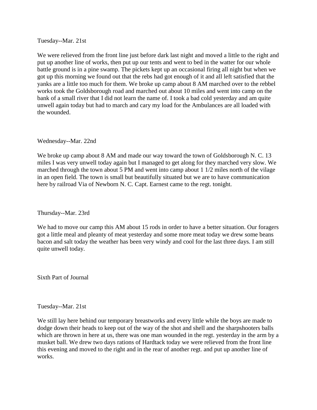Tuesday--Mar. 21st

We were relieved from the front line just before dark last night and moved a little to the right and put up another line of works, then put up our tents and went to bed in the watter for our whole battle ground is in a pine swamp. The pickets kept up an occasional firing all night but when we got up this morning we found out that the rebs had got enough of it and all left satisfied that the yanks are a little too much for them. We broke up camp about 8 AM marched over to the rebbel works took the Goldsborough road and marched out about 10 miles and went into camp on the bank of a small river that I did not learn the name of. I took a bad cold yesterday and am quite unwell again today but had to march and cary my load for the Ambulances are all loaded with the wounded.

# Wednesday--Mar. 22nd

We broke up camp about 8 AM and made our way toward the town of Goldsborough N. C. 13 miles I was very unwell today again but I managed to get along for they marched very slow. We marched through the town about 5 PM and went into camp about 1 1/2 miles north of the vilage in an open field. The town is small but beautifully situated but we are to have communication here by railroad Via of Newborn N. C. Capt. Earnest came to the regt. tonight.

Thursday--Mar. 23rd

We had to move our camp this AM about 15 rods in order to have a better situation. Our foragers got a little meal and pleanty of meat yesterday and some more meat today we drew some beans bacon and salt today the weather has been very windy and cool for the last three days. I am still quite unwell today.

Sixth Part of Journal

Tuesday--Mar. 21st

We still lay here behind our temporary breastworks and every little while the boys are made to dodge down their heads to keep out of the way of the shot and shell and the sharpshooters balls which are thrown in here at us, there was one man wounded in the regt. yesterday in the arm by a musket ball. We drew two days rations of Hardtack today we were relieved from the front line this evening and moved to the right and in the rear of another regt. and put up another line of works.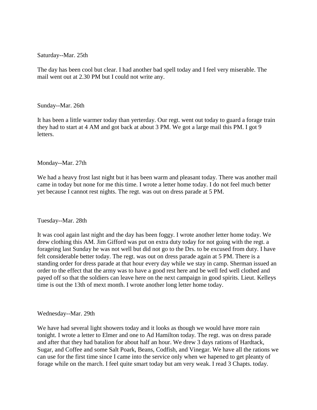Saturday--Mar. 25th

The day has been cool but clear. I had another bad spell today and I feel very miserable. The mail went out at 2.30 PM but I could not write any.

Sunday--Mar. 26th

It has been a little warmer today than yerterday. Our regt. went out today to guard a forage train they had to start at 4 AM and got back at about 3 PM. We got a large mail this PM. I got 9 letters.

Monday--Mar. 27th

We had a heavy frost last night but it has been warm and pleasant today. There was another mail came in today but none for me this time. I wrote a letter home today. I do not feel much better yet because I cannot rest nights. The regt. was out on dress parade at 5 PM.

Tuesday--Mar. 28th

It was cool again last night and the day has been foggy. I wrote another letter home today. We drew clothing this AM. Jim Gifford was put on extra duty today for not going with the regt. a forageing last Sunday he was not well but did not go to the Drs. to be excused from duty. I have felt considerable better today. The regt. was out on dress parade again at 5 PM. There is a standing order for dress parade at that hour every day while we stay in camp. Sherman issued an order to the effect that the army was to have a good rest here and be well fed well clothed and payed off so that the soldiers can leave here on the next campaign in good spirits. Lieut. Kelleys time is out the 13th of mext month. I wrote another long letter home today.

Wednesday--Mar. 29th

We have had several light showers today and it looks as though we would have more rain tonight. I wrote a letter to Elmer and one to Ad Hamilton today. The regt. was on dress parade and after that they had batalion for about half an hour. We drew 3 days rations of Hardtack, Sugar, and Coffee and some Salt Poark, Beans, Codfish, and Vinegar. We have all the rations we can use for the first time since I came into the service only when we hapened to get pleanty of forage while on the march. I feel quite smart today but am very weak. I read 3 Chapts. today.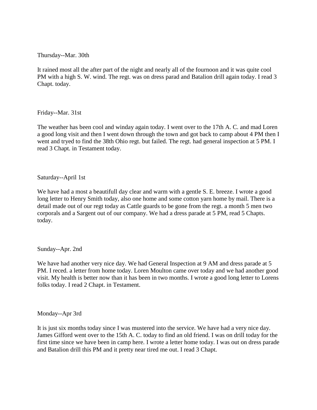Thursday--Mar. 30th

It rained most all the after part of the night and nearly all of the fournoon and it was quite cool PM with a high S. W. wind. The regt. was on dress parad and Batalion drill again today. I read 3 Chapt. today.

Friday--Mar. 31st

The weather has been cool and winday again today. I went over to the 17th A. C. and mad Loren a good long visit and then I went down through the town and got back to camp about 4 PM then I went and tryed to find the 38th Ohio regt. but failed. The regt. had general inspection at 5 PM. I read 3 Chapt. in Testament today.

Saturday--April 1st

We have had a most a beautifull day clear and warm with a gentle S. E. breeze. I wrote a good long letter to Henry Smith today, also one home and some cotton yarn home by mail. There is a detail made out of our regt today as Cattle guards to be gone from the regt. a month 5 men two corporals and a Sargent out of our company. We had a dress parade at 5 PM, read 5 Chapts. today.

Sunday--Apr. 2nd

We have had another very nice day. We had General Inspection at 9 AM and dress parade at 5 PM. I reced. a letter from home today. Loren Moulton came over today and we had another good visit. My health is better now than it has been in two months. I wrote a good long letter to Lorens folks today. I read 2 Chapt. in Testament.

Monday--Apr 3rd

It is just six months today since I was mustered into the service. We have had a very nice day. James Gifford went over to the 15th A. C. today to find an old friend. I was on drill today for the first time since we have been in camp here. I wrote a letter home today. I was out on dress parade and Batalion drill this PM and it pretty near tired me out. I read 3 Chapt.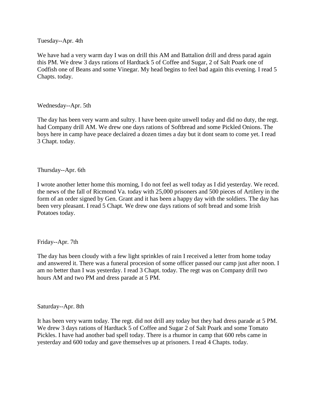Tuesday--Apr. 4th

We have had a very warm day I was on drill this AM and Battalion drill and dress parad again this PM. We drew 3 days rations of Hardtack 5 of Coffee and Sugar, 2 of Salt Poark one of Codfish one of Beans and some Vinegar. My head begins to feel bad again this evening. I read 5 Chapts. today.

Wednesday--Apr. 5th

The day has been very warm and sultry. I have been quite unwell today and did no duty, the regt. had Company drill AM. We drew one days rations of Softbread and some Pickled Onions. The boys here in camp have peace declaired a dozen times a day but it dont seam to come yet. I read 3 Chapt. today.

Thursday--Apr. 6th

I wrote another letter home this morning, I do not feel as well today as I did yesterday. We reced. the news of the fall of Ricmond Va. today with 25,000 prisoners and 500 pieces of Artilery in the form of an order signed by Gen. Grant and it has been a happy day with the soldiers. The day has been very pleasant. I read 5 Chapt. We drew one days rations of soft bread and some Irish Potatoes today.

Friday--Apr. 7th

The day has been cloudy with a few light sprinkles of rain I received a letter from home today and answered it. There was a funeral procesion of some officer passed our camp just after noon. I am no better than I was yesterday. I read 3 Chapt. today. The regt was on Company drill two hours AM and two PM and dress parade at 5 PM.

Saturday--Apr. 8th

It has been very warm today. The regt. did not drill any today but they had dress parade at 5 PM. We drew 3 days rations of Hardtack 5 of Coffee and Sugar 2 of Salt Poark and some Tomato Pickles. I have had another bad spell today. There is a rhumor in camp that 600 rebs came in yesterday and 600 today and gave themselves up at prisoners. I read 4 Chapts. today.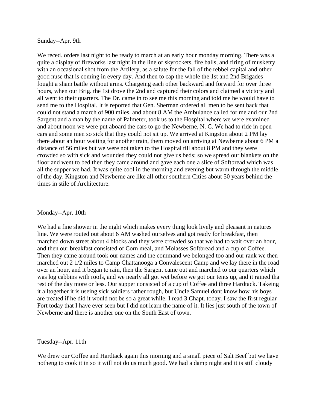Sunday--Apr. 9th

We reced. orders last night to be ready to march at an early hour monday morning. There was a quite a display of fireworks last night in the line of skyrockets, fire balls, and firing of musketry with an occasional shot from the Artilery, as a salute for the fall of the rebbel capital and other good nuse that is coming in every day. And then to cap the whole the 1st and 2nd Brigades fought a sham battle without arms. Chargeing each other backward and forward for over three hours, when our Brig. the 1st drove the 2nd and captured their colors and claimed a victory and all went to their quarters. The Dr. came in to see me this morning and told me he would have to send me to the Hospital. It is reported that Gen. Sherman ordered all men to be sent back that could not stand a march of 900 miles, and about 8 AM the Ambulance called for me and our 2nd Sargent and a man by the name of Palmeter, took us to the Hospital where we were examined and about noon we were put aboard the cars to go the Newberne, N. C. We had to ride in open cars and some men so sick that they could not sit up. We arrived at Kingston about 2 PM lay there about an hour waiting for another train, them moved on arriving at Newberne about 6 PM a distance of 56 miles but we were not taken to the Hospital till about 8 PM and they were crowded so with sick and wounded they could not give us beds; so we spread our blankets on the floor and went to bed then they came around and gave each one a slice of Softbread which was all the supper we had. It was quite cool in the morning and evening but warm through the middle of the day. Kingston and Newberne are like all other southern Cities about 50 years behind the times in stile of Architecture.

#### Monday--Apr. 10th

We had a fine shower in the night which makes every thing look lively and pleasant in natures line. We were routed out about 6 AM washed ourselves and got ready for breakfast, then marched down street about 4 blocks and they were crowded so that we had to wait over an hour, and then our breakfast consisted of Corn meal, and Molasses Softbread and a cup of Coffee. Then they came around took our names and the command we belonged too and our rank we then marched out 2 1/2 miles to Camp Chattanooga a Convalescent Camp and we lay there in the road over an hour, and it began to rain, then the Sargent came out and marched to our quarters which was log cabbins with roofs, and we nearly all got wet before we got our tents up, and it rained tha rest of the day more or less. Our supper consisted of a cup of Coffee and three Hardtack. Takeing it alltogether it is useing sick soldiers rather rough, but Uncle Samuel dont know how his boys are treated if he did it would not be so a great while. I read 3 Chapt. today. I saw the first regular Fort today that I have ever seen but I did not learn the name of it. It lies just south of the town of Newberne and there is another one on the South East of town.

Tuesday--Apr. 11th

We drew our Coffee and Hardtack again this morning and a small piece of Salt Beef but we have notheng to cook it in so it will not do us much good. We had a damp night and it is still cloudy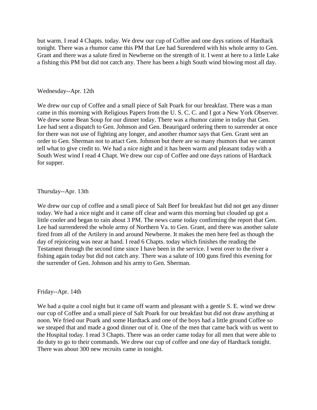but warm. I read 4 Chapts. today. We drew our cup of Coffee and one days rations of Hardtack tonight. There was a rhumor came this PM that Lee had Surendered with his whole army to Gen. Grant and there was a salute fired in Newberne on the strength of it. I went at here to a little Lake a fishing this PM but did not catch any. There has been a high South wind blowing most all day.

## Wednesday--Apr. 12th

We drew our cup of Coffee and a small piece of Salt Poark for our breakfast. There was a man came in this morning with Religious Papers from the U. S. C. C. and I got a New York Observer. We drew some Bean Soup for our dinner today. There was a rhumor caime in today that Gen. Lee had sent a dispatch to Gen. Johnson and Gen. Beaurigard ordering them to surrender at once for there was not use of fighting any longer, and another rhumor says that Gen. Grant sent an order to Gen. Sherman not to attact Gen. Johnson but there are so many rhumors that we cannot tell what to give credit to. We had a nice night and it has been warm and pleasant today with a South West wind I read 4 Chapt. We drew our cup of Coffee and one days rations of Hardtack for supper.

# Thursday--Apr. 13th

We drew our cup of coffee and a small piece of Salt Beef for breakfast but did not get any dinner today. We had a nice night and it came off clear and warm this morning but clouded up got a little cooler and began to rain about 3 PM. The news came today confirming the report that Gen. Lee had surrendered the whole army of Northern Va. to Gen. Grant, and there was another salute fired from all of the Artilery in and around Newberne. It makes the men here feel as though the day of rejoiceing was near at hand. I read 6 Chapts. today which finishes the reading the Testament through the second time since I have been in the service. I went over to the river a fishing again today but did not catch any. There was a salute of 100 guns fired this evening for the surrender of Gen. Johnson and his army to Gen. Sherman.

#### Friday--Apr. 14th

We had a quite a cool night but it came off warm and pleasant with a gentle S. E. wind we drew our cup of Coffee and a small piece of Salt Poark for our breakfast but did not draw anything at noon. We fried our Poark and some Hardtack and one of the boys had a little ground Coffee so we steaped that and made a good dinner out of it. One of the men that came back with us went to the Hospital today. I read 3 Chapts. There was an order came today for all men that were able to do duty to go to their commands. We drew our cup of coffee and one day of Hardtack tonight. There was about 300 new recruits came in tonight.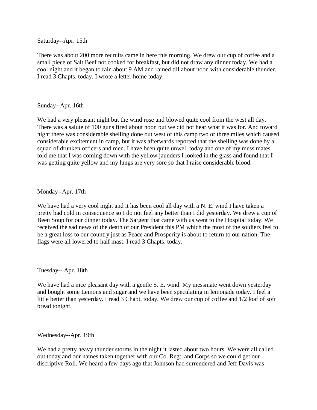Saturday--Apr. 15th

There was about 200 more recruits came in here this morning. We drew our cup of coffee and a small piece of Salt Beef not cooked for breakfast, but did not draw any dinner today. We had a cool night and it began to rain about 9 AM and rained till about noon with considerable thunder. I read 3 Chapts. today. I wrote a letter home today.

# Sunday--Apr. 16th

We had a very pleasant night but the wind rose and blowed quite cool from the west all day. There was a salute of 100 guns fired about noon but we did not hear what it was for. And toward night there was considerable shelling done out west of this camp two or three miles which caused considerable excitement in camp, but it was afterwards reported that the shelling was done by a squad of drunken officers and men. I have been quite unwell today and one of my mess mates told me that I was coming down with the yellow jaunders I looked in the glass and found that I was getting quite yellow and my lungs are very sore so that I raise considerable blood.

Monday--Apr. 17th

We have had a very cool night and it has been cool all day with a N. E. wind I have taken a pretty bad cold in consequence so I do not feel any better than I did yesterday. We drew a cup of Been Soup for our dinner today. The Sargent that came with us went to the Hospital today. We received the sad news of the death of our President this PM which the most of the soldiers feel to be a great loss to our country just as Peace and Prosperity is about to return to our nation. The flags were all lowered to half mast. I read 3 Chapts. today.

Tuesday-- Apr. 18th

We have had a nice pleasant day with a gentle S. E. wind. My messmate went down yesterday and bought some Lemons and sugar and we have been speculating in lemonade today. I feel a little better than yesterday. I read 3 Chapt. today. We drew our cup of coffee and 1/2 loaf of soft bread tonight.

Wednesday--Apr. 19th

We had a pretty heavy thunder storms in the night it lasted about two hours. We were all called out today and our names taken together with our Co. Regt. and Corps so we could get our discriptive Roll. We heard a few days ago that Johnson had surrendered and Jeff Davis was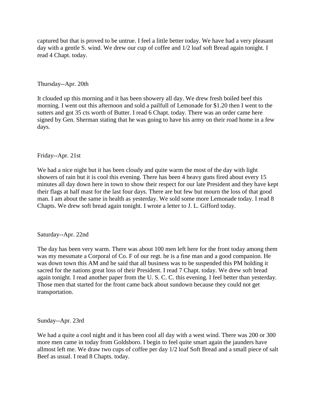captured but that is proved to be untrue. I feel a little better today. We have had a very pleasant day with a gentle S. wind. We drew our cup of coffee and  $1/2$  loaf soft Bread again tonight. I read 4 Chapt. today.

Thursday--Apr. 20th

It clouded up this morning and it has been showery all day. We drew fresh boiled beef this morning. I went out this afternoon and sold a pailfull of Lemonade for \$1.20 then I went to the sutters and got 35 cts worth of Butter. I read 6 Chapt. today. There was an order came here signed by Gen. Sherman stating that he was going to have his army on their road home in a few days.

Friday--Apr. 21st

We had a nice night but it has been cloudy and quite warm the most of the day with light showers of rain but it is cool this evening. There has been 4 heavy guns fired about every 15 minutes all day down here in town to show their respect for our late President and they have kept their flags at half mast for the last four days. There are but few but mourn the loss of that good man. I am about the same in health as yesterday. We sold some more Lemonade today. I read 8 Chapts. We drew soft bread again tonight. I wrote a letter to J. L. Gifford today.

Saturday--Apr. 22nd

The day has been very warm. There was about 100 men left here for the front today among them was my messmate a Corporal of Co. F of our regt. he is a fine man and a good companion. He was down town this AM and he said that all business was to be suspended this PM holding it sacred for the nations great loss of their President. I read 7 Chapt. today. We drew soft bread again tonight. I read another paper from the U. S. C. C. this evening. I feel better than yesterday. Those men that started for the front came back about sundown because they could not get transportation.

Sunday--Apr. 23rd

We had a quite a cool night and it has been cool all day with a west wind. There was 200 or 300 more men came in today from Goldsboro. I begin to feel quite smart again the jaunders have allmost left me. We draw two cups of coffee per day 1/2 loaf Soft Bread and a small piece of salt Beef as usual. I read 8 Chapts. today.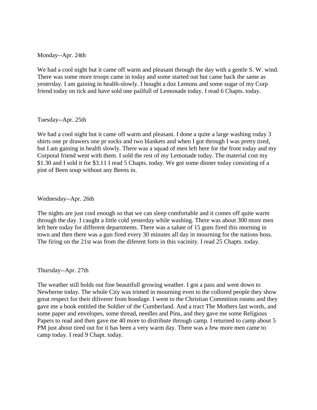Monday--Apr. 24th

We had a cool night but it came off warm and pleasant through the day with a gentle S. W. wind. There was some more troops came in today and some started out but came back the same as yesterday. I am gaining in health-slowly. I bought a doz Lemons and some sugar of my Corp friend today on tick and have sold one pailfull of Lemonade today. I read 6 Chapts. today.

#### Tuesday--Apr. 25th

We had a cool night but it came off warm and pleasant. I done a quite a large washing roday 3 shirts one pr drawers one pr socks and two blankets and when I got through I was pretty tired, but I am gaining in health slowly. There was a squad of men left here for the front today and my Corporal friend went with them. I sold the rest of my Lemonade today. The material cost my \$1.30 and I sold it for \$3.11 I read 5 Chapts. today. We got some dinner today consisting of a pint of Been soup without any Beens in.

## Wednesday--Apr. 26th

The nights are just cool enough so that we can sleep comfortable and it comes off quite warm through the day. I caught a little cold yesterday while washing. There was about 300 more men left here today for different departments. There was a salute of 15 guns fired this morning in town and then there was a gun fired every 30 minutes all day in mourning for the nations boss. The firing on the 21st was from the diferent forts in this vacinity. I read 25 Chapts. today.

#### Thursday--Apr. 27th

The weather still holds out fine beautifull growing weather. I got a pass and went down to Newberne today. The whole City was trimed in mourning even to the collored people they show great respect for their diliverer from bondage. I went to the Christian Commition rooms and they gave me a book entitled the Soldier of the Cumberland. And a tract The Mothers last words, and some paper and envelopes, some thread, needles and Pins, and they gave me some Religious Papers to read and then gave me 40 more to distribute through camp. I returned to camp about 5 PM just about tired out for it has been a very warm day. There was a few more men came to camp today. I read 9 Chapt. today.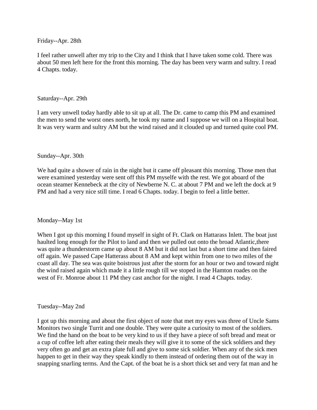Friday--Apr. 28th

I feel rather unwell after my trip to the City and I think that I have taken some cold. There was about 50 men left here for the front this morning. The day has been very warm and sultry. I read 4 Chapts. today.

## Saturday--Apr. 29th

I am very unwell today hardly able to sit up at all. The Dr. came to camp this PM and examined the men to send the worst ones north, he took my name and I suppose we will on a Hospital boat. It was very warm and sultry AM but the wind raised and it clouded up and turned quite cool PM.

## Sunday--Apr. 30th

We had quite a shower of rain in the night but it came off pleasant this morning. Those men that were examined yesterday were sent off this PM myselfe with the rest. We got aboard of the ocean steamer Kennebeck at the city of Newberne N. C. at about 7 PM and we left the dock at 9 PM and had a very nice still time. I read 6 Chapts. today. I begin to feel a little better.

#### Monday--May 1st

When I got up this morning I found myself in sight of Ft. Clark on Hattarass Inlett. The boat just haulted long enough for the Pilot to land and then we pulled out onto the broad Atlantic,there was quite a thunderstorm came up about 8 AM but it did not last but a short time and then faired off again. We passed Cape Hatterass about 8 AM and kept within from one to two miles of the coast all day. The sea was quite boistrous just after the storm for an hour or two and toward night the wind raised again which made it a little rough till we stoped in the Hamton roades on the west of Fr. Monroe about 11 PM they cast anchor for the night. I read 4 Chapts. today.

#### Tuesday--May 2nd

I got up this morning and about the first object of note that met my eyes was three of Uncle Sams Monitors two single Turrit and one double. They were quite a curiosity to most of the soldiers. We find the hand on the boat to be very kind to us if they have a piece of soft bread and meat or a cup of coffee left after eating their meals they will give it to some of the sick soldiers and they very often go and get an extra plate full and give to some sick soldier. When any of the sick men happen to get in their way they speak kindly to them instead of ordering them out of the way in snapping snarling terms. And the Capt. of the boat he is a short thick set and very fat man and he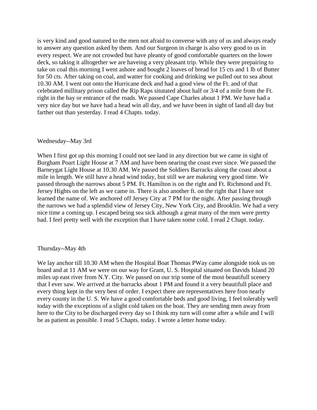is very kind and good natured to the men not afraid to converse with any of us and always ready to answer any question asked by them. And our Surgeon in charge is also very good to us in every respect. We are not crowded but have pleanty of good comfortable quarters on the lower deck, so taking it alltogether we are haveing a very pleasant trip. While they were prepairing to take on coal this morning I went ashore and bought 2 loaves of bread for 15 cts and 1 lb of Butter for 50 cts. After taking on coal, and watter for cooking and drinking we pulled out to sea about 10.30 AM. I went out onto the Hurricane deck and had a good view of the Ft. and of that celebrated millitary prison called the Rip Raps situtated about half or 3/4 of a mile from the Ft. right in the bay or entrance of the roads. We passed Cape Charles about 1 PM. We have had a very nice day but we have had a head win all day, and we have been in sight of land all day but farther out than yesterday. I read 4 Chapts. today.

#### Wednesday--May 3rd

When I first got up this morning I could not see land in any direction but we came in sight of Burgham Poart Light House at 7 AM and have been nearing the coast ever since. We passed the Barneygat Light House at 10.30 AM. We passed the Soldiers Barracks along the coast about a mile in length. We still have a head wind today, but still we are makeing very good time. We passed through the narrows about 5 PM. Ft. Hamilton is on the right and Ft. Richmond and Ft. Jersey Hights on the left as we came in. There is also another ft. on the right that I have not learned the name of. We anchored off Jersey City at 7 PM for the night. After passing through the narrows we had a splendid view of Jersey City, New York City, and Brooklin. We had a very nice time a coming up. I escaped being sea sick although a great many of the men were pretty bad. I feel pretty well with the exception that I have taken some cold. I read 2 Chapt. today.

#### Thursday--May 4th

We lay anchor till 10.30 AM when the Hospital Boat Thomas PWay came alongside took us on board and at 11 AM we were on our way for Grant, U. S. Hospital situated on Davids Island 20 miles up east river from N.Y. City. We passed on our trip some of the most beautifull scenery that I ever saw. We arrived at the barracks about 1 PM and found it a very beautifull place and every thing kept in the very best of order. I expect there are representatives here fron nearly every county in the U. S. We have a good comfortable beds and good living, I feel tolerably well today with the exceptions of a slight cold taken on the boat. They are sending men away from here to the City to be discharged every day so I think my turn will come after a while and I will be as patient as possible. I read 5 Chapts. today. I wrote a letter home today.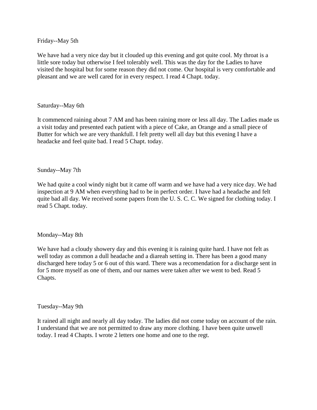Friday--May 5th

We have had a very nice day but it clouded up this evening and got quite cool. My throat is a little sore today but otherwise I feel tolerably well. This was the day for the Ladies to have visited the hospital but for some reason they did not come. Our hospital is very comfortable and pleasant and we are well cared for in every respect. I read 4 Chapt. today.

# Saturday--May 6th

It commenced raining about 7 AM and has been raining more or less all day. The Ladies made us a visit today and presented each patient with a piece of Cake, an Orange and a small piece of Butter for which we are very thankfull. I felt pretty well all day but this evening I have a headacke and feel quite bad. I read 5 Chapt. today.

## Sunday--May 7th

We had quite a cool windy night but it came off warm and we have had a very nice day. We had inspection at 9 AM when everything had to be in perfect order. I have had a headache and felt quite bad all day. We received some papers from the U.S.C.C. We signed for clothing today. I read 5 Chapt. today.

# Monday--May 8th

We have had a cloudy showery day and this evening it is raining quite hard. I have not felt as well today as common a dull headache and a diareah setting in. There has been a good many discharged here today 5 or 6 out of this ward. There was a recomendation for a discharge sent in for 5 more myself as one of them, and our names were taken after we went to bed. Read 5 Chapts.

#### Tuesday--May 9th

It rained all night and nearly all day today. The ladies did not come today on account of the rain. I understand that we are not permitted to draw any more clothing. I have been quite unwell today. I read 4 Chapts. I wrote 2 letters one home and one to the regt.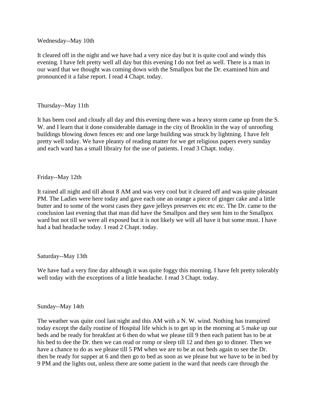# Wednesday--May 10th

It cleared off in the night and we have had a very nice day but it is quite cool and windy this evening. I have felt pretty well all day but this evening I do not feel as well. There is a man in our ward that we thought was coming down with the Smallpox but the Dr. examined him and pronounced it a false report. I read 4 Chapt. today.

# Thursday--May 11th

It has been cool and cloudy all day and this evening there was a heavy storm came up from the S. W. and I learn that it done considerable damage in the city of Brooklin in the way of unroofing buildings blowing down fences etc and one large building was struck by lightning. I have felt pretty well today. We have pleanty of reading matter for we get religious papers every sunday and each ward has a small librairy for the use of patients. I read 3 Chapt. today.

# Friday--May 12th

It rained all night and till about 8 AM and was very cool but it cleared off and was quite pleasant PM. The Ladies were here today and gave each one an orange a piece of ginger cake and a little butter and to some of the worst cases they gave jelleys preserves etc etc etc. The Dr. came to the conclusion last evening that that man did have the Smallpox and they sent him to the Smallpox ward but not till we were all exposed but it is not likely we will all have it but some must. I have had a bad headache today. I read 2 Chapt. today.

# Saturday--May 13th

We have had a very fine day although it was quite foggy this morning. I have felt pretty tolerably well today with the exceptions of a little headache. I read 3 Chapt. today.

# Sunday--May 14th

The weather was quite cool last night and this AM with a N. W. wind. Nothing has transpired today except the daily routine of Hospital life which is to get up in the morning at 5 make up our beds and be ready for breakfast at 6 then do what we please till 9 then each patient has to be at his bed to dee the Dr. then we can read or romp or sleep till 12 and then go to dinner. Then we have a chance to do as we please till 5 PM when we are to be at out beds again to see the Dr. then be ready for supper at 6 and then go to bed as soon as we please but we have to be in bed by 9 PM and the lights out, unless there are some patient in the ward that needs care through the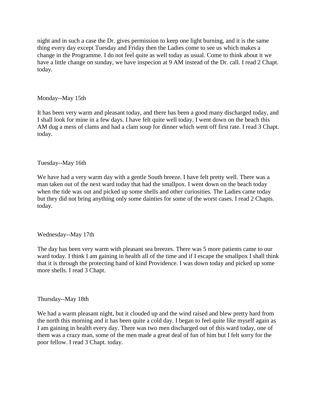night and in such a case the Dr. gives permission to keep one light burning, and it is the same thing every day except Tuesday and Friday then the Ladies come to see us which makes a change in the Programme. I do not feel quite as well today as usual. Come to think about it we have a little change on sunday, we have inspecion at 9 AM instead of the Dr. call. I read 2 Chapt. today.

# Monday--May 15th

It has been very warm and pleasant today, and there has been a good many discharged today, and I shall look for mine in a few days. I have felt quite well today. I went down on the beach this AM dug a mess of clams and had a clam soup for dinner which went off first rate. I read 3 Chapt. today.

# Tuesday--May 16th

We have had a very warm day with a gentle South breeze. I have felt pretty well. There was a man taken out of the next ward today that had the smallpox. I went down on the beach today when the tide was out and picked up some shells and other curiosities. The Ladies came today but they did not bring anything only some dainties for some of the worst cases. I read 2 Chapts. today.

# Wednesday--May 17th

The day has been very warm with pleasant sea breezes. There was 5 more patients came to our ward today. I think I am gaining in health all of the time and if I escape the smallpox I shall think that it is through the protecting hand of kind Providence. I was down today and picked up some more shells. I read 3 Chapt.

# Thursday--May 18th

We had a warm pleasant night, but it clouded up and the wind raised and blew pretty hard from the north this morning and it has been quite a cold day. I began to feel quite like myself again as I am gaining in health every day. There was two men discharged out of this ward today, one of them was a crazy man, some of the men made a great deal of fun of him but I felt sorry for the poor fellow. I read 3 Chapt. today.